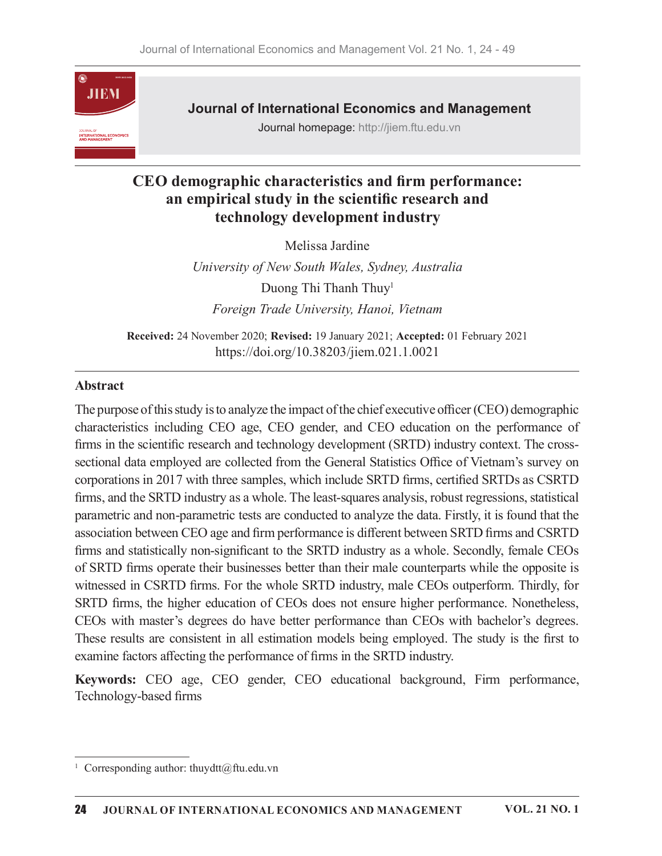

Journal of International Economics and Management

Journal homepage: http://jiem.ftu.edu.vn

# CEO demographic characteristics and firm performance: an empirical study in the scientific research and technology development industry

Melissa Jardine

University of New South Wales, Sydney, Australia Duong Thi Thanh Thuy<sup>1</sup> Foreign Trade University, Hanoi, Vietnam

Received: 24 November 2020; Revised: 19 January 2021; Accepted: 01 February 2021 https://doi.org/10.38203/jiem.021.1.0021

## Abstract

The purpose of this study is to analyze the impact of the chief executive officer (CEO) demographic characteristics including CEO age, CEO gender, and CEO education on the performance of firms in the scientific research and technology development (SRTD) industry context. The crosssectional data employed are collected from the General Statistics Office of Vietnam's survey on corporations in 2017 with three samples, which include SRTD firms, certified SRTDs as CSRTD firms, and the SRTD industry as a whole. The least-squares analysis, robust regressions, statistical parametric and non-parametric tests are conducted to analyze the data. Firstly, it is found that the association between CEO age and firm performance is different between SRTD firms and CSRTD firms and statistically non-significant to the SRTD industry as a whole. Secondly, female CEOs of SRTD firms operate their businesses better than their male counterparts while the opposite is witnessed in CSRTD firms. For the whole SRTD industry, male CEOs outperform. Thirdly, for SRTD firms, the higher education of CEOs does not ensure higher performance. Nonetheless, CEOs with master's degrees do have better performance than CEOs with bachelor's degrees. These results are consistent in all estimation models being employed. The study is the first to examine factors affecting the performance of firms in the SRTD industry.

Keywords: CEO age, CEO gender, CEO educational background, Firm performance, Technology-based firms

<sup>&</sup>lt;sup>1</sup> Corresponding author: thuydtt@ftu.edu.vn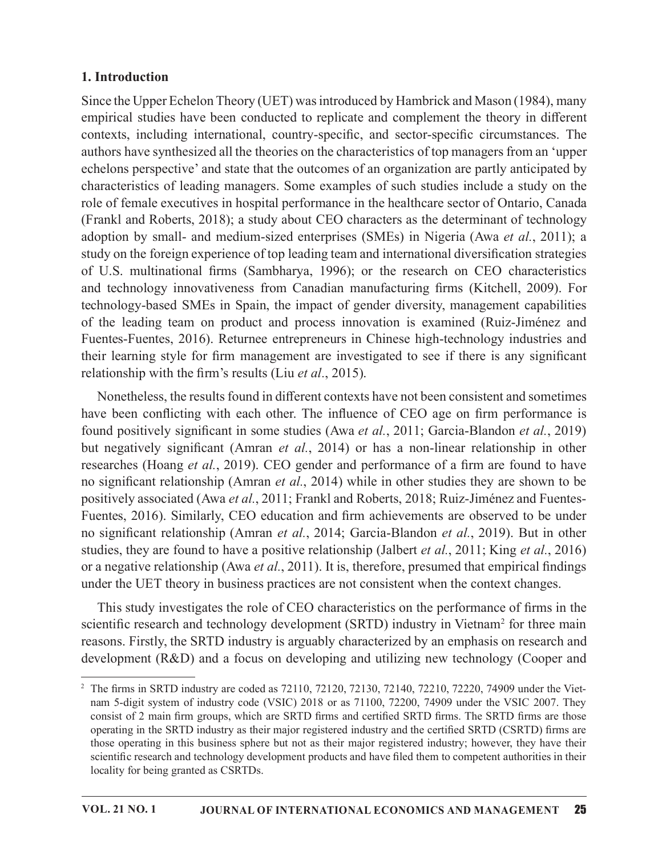## 1. Introduction

Since the Upper Echelon Theory (UET) wasintroduced by Hambrick and Mason (1984), many empirical studies have been conducted to replicate and complement the theory in different contexts, including international, country-specific, and sector-specific circumstances. The authors have synthesized all the theories on the characteristics of top managers from an 'upper echelons perspective' and state that the outcomes of an organization are partly anticipated by characteristics of leading managers. Some examples of such studies include a study on the role of female executives in hospital performance in the healthcare sector of Ontario, Canada (Frankl and Roberts, 2018); a study about CEO characters as thedeterminant of technology 1. Introduction<br>
Since the Upper Echelon Theory (UET) was introduced by Hambrick and Mason (1984), many<br>
emprincial studies have been conducted to replicate and complement the theory in different<br>
authors have synthesized study on the foreign experience of top leading team and international diversification strategies **1. Introduction**<br>
Since the Upper Echelon Theory (UET) was introduced by Hambrick and Mason (1984), many<br>
empirical suluding have been conducted to replicate and complement the theory in different<br>
econtexts, including in **1. Introduction**<br>
Since the Upper Echelon Theory (UET) was introduced by Hambrick and Mason (1984), many<br>
empirical studies have been conducted to replicate and complement the theory in different<br>
contexts, including int technology-based SMEs in Spain, the impact of gender diversity, management capabilities of the leading team on product and process innovation is examined (Ruiz-Jiménez and Fuentes-Fuentes, 2016). Returnee entrepreneurs in Chinese high-technology industries and their learning style for firm management are investigated to see if there is any significant relationship with the firm's results (Liu  $et al., 2015$ ). authors have synthesized all the theories on the characteristics of top managers from an 'upper<br>ceholons perspective' and state that the outcomes of an organization are partly anticipated by<br>characteristics of leading man

Nonetheless, the results found in different contexts have not been consistent and sometimes found positively significant in some studies (Awa et al., 2011; Garcia-Blandon et al., 2019) but negatively significant (Amran et al., 2014) or has a non-linear relationship in other researches (Hoang et al., 2019). CEO gender and performance of a firm are found to have no significant relationship (Amran et al., 2014) while in other studies they are shown to be positively associated (Awa et al., 2011; Frankl and Roberts, 2018; Ruiz-Jiménez and Fuentes-Fuentes, 2016). Similarly, CEO education and firm achievements are observed to be under no significant relationship (Amran et al., 2014; Garcia-Blandon et al., 2019). But in other studies, they are found to have a positive relationship (Jalbert et al., 2011; King et al., 2016) or a negative relationship (Awa et al., 2011). It is, therefore, presumed that empirical findings under the UET theory in business practices are not consistent when the context changes. Nonetheless, the results found in different contexts have not been consistent and sometimes<br>flave been conflicting with each other. The influence of CEO age on firm performance is<br>found positively significant in some stud

This study investigates the role of CEO characteristics on the performance of firms in the scientific research and technology development (SRTD) industry in Vietnam<sup>2</sup> for three main reasons. Firstly, the SRTD industry is arguably characterized by an emphasis on research and

 $2\text{ The firms in SRTD industry are coded as } 72110, 72120, 72130, 72140, 72210, 72220, 74909$  under the Vietnam 5-digit system of industry code (VSIC) 2018 or as 71100, 72200, 74909 under the VSIC 2007. They consist of 2 main firm groups, which are SRTD firms and certified SRTD firms. The SRTD firms are those operating in the SRTD industry as their major registered industry and the certified SRTD (CSRTD) firms are those operating in this business sphere but not as their major registered industry; however, they have their scientific research and technology development products and have filed them to competent authorities in their locality for being granted as CSRTDs.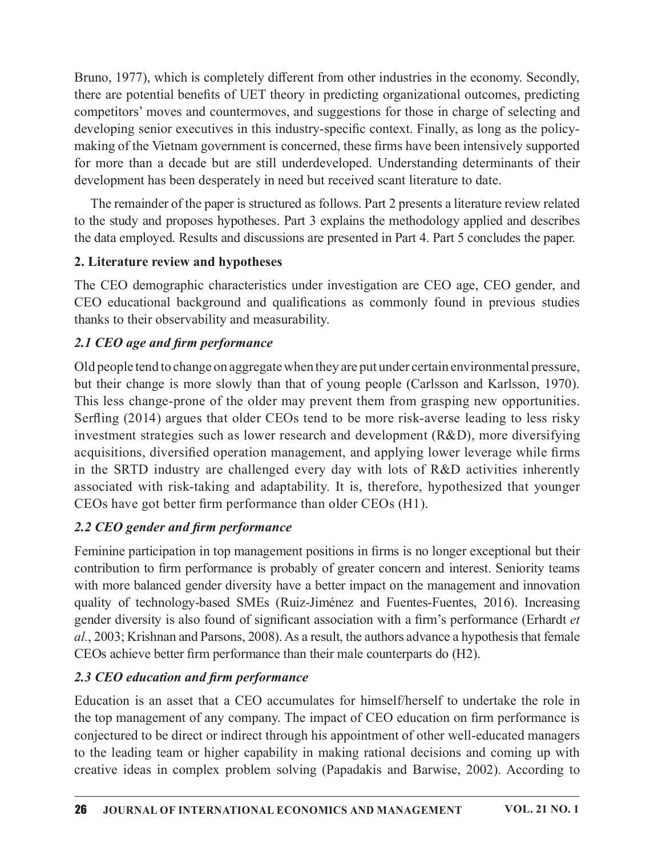Bruno, 1977), which is completely different from other industries in the economy. Secondly, there are potential benefits of UET theory in predicting organizational outcomes, predicting competitors' moves and countermoves, and suggestions for those in charge of selecting and developing senior executives in this industry-specific context. Finally, as long as the policymaking of the Vietnam government is concerned, these firms have been intensively supported Bruno, 1977), which is completely different from other industries in the economy. Secondly, there are potential benefits of UET theory in predicting organizational outcomes, predicting competitors' moves and countermoves, development has been desperately in need but received scant literature to date.

The remainder of the paper is structured as follows. Part 2 presents a literature review related to the study and proposes hypotheses. Part 3 explains the methodology applied and describes the data employed. Results and discussions are presented in Part 4. Part 5 concludes the paper.

## 2. Literature review and hypotheses

The CEO demographic characteristics under investigation are CEO age, CEO gender, and CEO educational background and qualifications as commonly found in previous studies thanks to their observability and measurability.

# 2.1 CEO age and firm performance

Old people tend to change on aggregatewhen they are put under certain environmental pressure, but their change is more slowly than that of young people (Carlsson and Karlsson, 1970). This less change-prone of the older may prevent them from grasping new opportunities. Serfling (2014) argues that older CEOs tend to be more risk-averse leading to less risky investment strategies such as lower research and development (R&D), more diversifying acquisitions, diversified operation management, and applying lower leverage while firms The remannel of the paper is structured as follows. Part 2 presents a literature review related<br>to the study and proposes hypotheses. Part 3 explains the methodology applied and escribes<br>the data employed. Results and disc associated with risk-taking and adaptability. It is, therefore, hypothesized that younger  $CEOs$  have got better firm performance than older  $CEOs$  (H1).

## 2.2 CEO gender and firm performance

Feminine participation in top management positions in firms is no longer exceptional but their contribution to firm performance is probably of greater concern and interest. Seniority teams with more balanced gender diversity have a better impact on the management and innovation quality of technology-based SMEs (Ruiz-Jiménez and Fuentes-Fuentes, 2016). Increasing gender diversity is also found of significant association with a firm's performance (Erhardt et  $al.$ , 2003; Krishnan and Parsons, 2008). As a result, the authors advance a hypothesis that female CEOs achieve better firm performance than their male counterparts do (H2). associated with risk-taking and adaptability. It is, therefore, hypothesized that younger<br>CEOs have got better firm performance than older CEOs (H1).<br>2.2 CEO gender and firm performance<br>Feminine participation in top manage

## 2.3 CEO education and firm performance

Education is an asset that a CEO accumulates for himself/herself to undertake the role in the top management of any company. The impact of CEO education on firm performance is conjectured to be direct or indirect through his appointment of other well-educated managers creative ideas in complex problem solving (Papadakis and Barwise, 2002). According to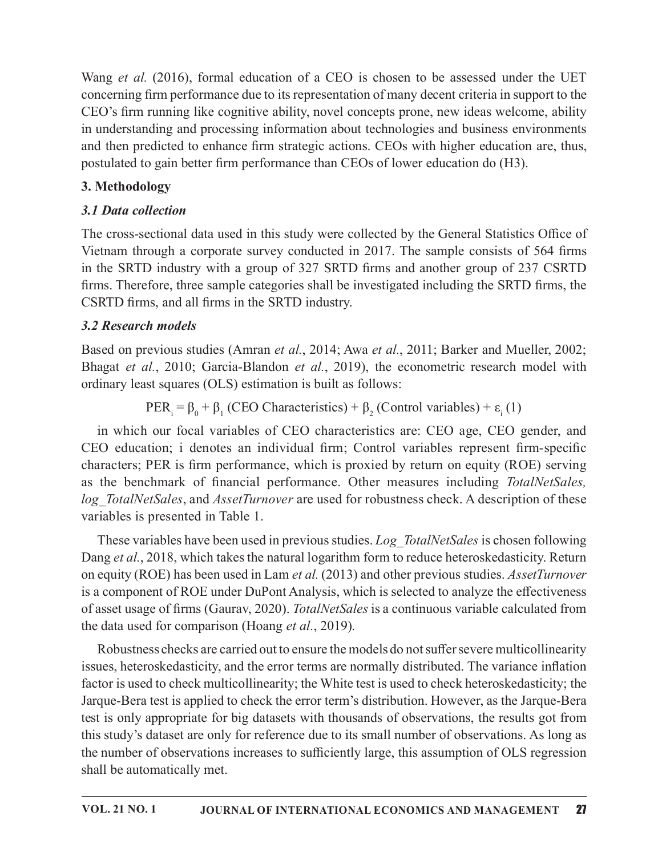Wang et al.  $(2016)$ , formal education of a CEO is chosen to be assessed under the UET concerning firm performance due to its representation of many decent criteria in support to the CEO's firm running like cognitive ability, novel concepts prone, new ideas welcome, ability in understanding and processing information about technologies and business environments and then predicted to enhance firm strategic actions. CEOs with higher education are, thus, postulated to gain better firm performance than CEOs of lower education do (H3).

# 3. Methodology

# 3.1 Data collection

The cross-sectional data used in this study were collected by the General Statistics Office of Vietnam through a corporate survey conducted in 2017. The sample consists of 564 firms in the SRTD industry with a group of 327 SRTD firms and another group of 237 CSRTD firms. Therefore, three sample categories shall be investigated including the SRTD firms, the CSRTD firms, and all firms in the SRTD industry.

# 3.2 Research models

Based on previous studies (Amran et al., 2014; Awa et al., 2011; Barker and Mueller, 2002; Bhagat et al., 2010; Garcia-Blandon et al., 2019), the econometric research model with ordinary least squares (OLS) estimation is built as follows:

 $PER_i = \beta_0 + \beta_1 (CEO Characteristics) + \beta_2 (Control variables) + \varepsilon_i (1)$ 

in which our focal variables of CEO characteristics are: CEO age, CEO gender, and **3. I Data collection**<br> **The cross-sectional data used in this study were collected by the General Statistics Office of<br>
Vietnam through a corporate survey conducted in 2017. The sample consists of 564 firms<br>
in the SRTD** characters; PER is firm performance, which is proxied by return on equity (ROE) serving as the cross-sectional data used in this study were collected by the General Statistics Office of Vietnam through a corporate survey conducted in 2017. The sample consists of 564 firms in the SRTD industry with a group of variables is presented in Table 1.

These variables have been used in previous studies. Log TotalNetSales is chosen following Dang et al., 2018, which takes the natural logarithm form to reduce heteroskedasticity. Return on equity (ROE) has been used in Lam *et al.* (2013) and other previous studies. *AssetTurnover* is a component of ROE under DuPont Analysis, which is selected to analyze the effectiveness of asset usage of firms (Gaurav, 2020). *TotalNetSales* is a continuous variable calculated from the data used for comparison (Hoang *et al.*, 2019).

Robustness checks are carried out to ensure the models do not suffer severe multicollinearity issues, heteroskedasticity, and the error terms are normally distributed. The variance inflation factor is used to check multicollinearity; the White test is used to check heteroskedasticity; the Jarque-Bera test is applied to check the error term's distribution. However, as the Jarque-Bera test is only appropriate for big datasets with thousands of observations, the results got from this study's dataset are only for reference due to its small number of observations. As long as the number of observations increases to sufficiently large, this assumption of OLS regression shall be automatically met.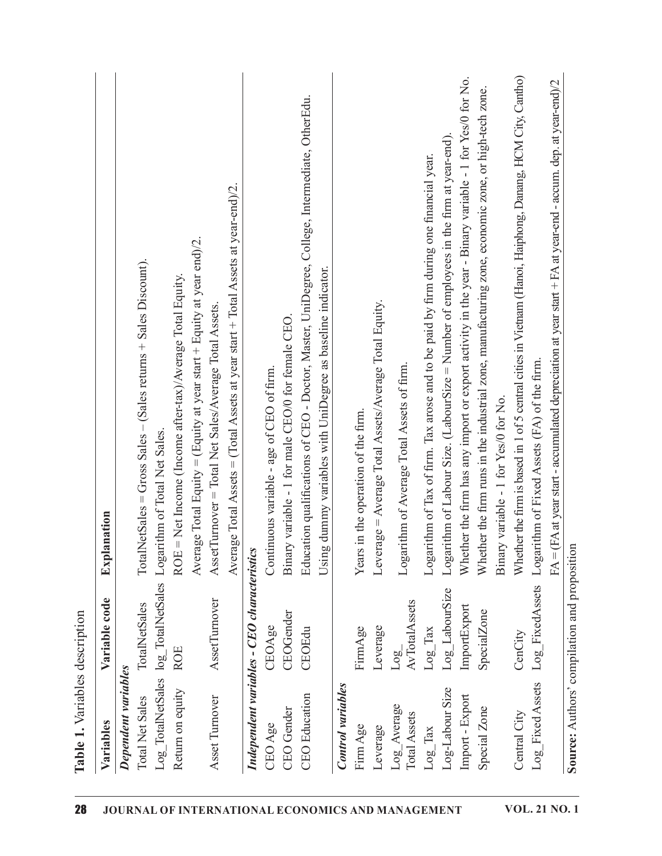| AssetTurnover = Total Net Sales/Average Total Assets.<br>Logarithm of Total Net Sales.<br>Explanation<br>TotalNetSales log_TotalNetSales<br>AssetTumover<br>TotalNetSales<br><b>ROE</b><br>Dependent variables<br>Return on equity<br>Asset Turnover<br><b>Total Net Sales</b><br>$log_{2}$ |                                                                                                                                                              |
|---------------------------------------------------------------------------------------------------------------------------------------------------------------------------------------------------------------------------------------------------------------------------------------------|--------------------------------------------------------------------------------------------------------------------------------------------------------------|
|                                                                                                                                                                                                                                                                                             |                                                                                                                                                              |
|                                                                                                                                                                                                                                                                                             | $TotalNetSales = Gross Sales - (Sales returns + Sales Discount)$                                                                                             |
|                                                                                                                                                                                                                                                                                             |                                                                                                                                                              |
|                                                                                                                                                                                                                                                                                             | ROE = Net Income (Income after-tax)/Average Total Equity                                                                                                     |
|                                                                                                                                                                                                                                                                                             | Average Total Equity = (Equity at year start + Equity at year end)/2.                                                                                        |
|                                                                                                                                                                                                                                                                                             |                                                                                                                                                              |
|                                                                                                                                                                                                                                                                                             | Average Total Assets = (Total Assets at year start + Total Assets at year-end)/2                                                                             |
| Independent variables - CEO characteristics                                                                                                                                                                                                                                                 |                                                                                                                                                              |
| Continuous variable - age of CEO of firm.<br>CEOAge<br>CEO Age                                                                                                                                                                                                                              |                                                                                                                                                              |
| Binary variable - 1 for male CEO/0 for female CEO<br>CEOGender<br>CEO Gender                                                                                                                                                                                                                |                                                                                                                                                              |
| CEOEdu<br><b>CEO</b> Education                                                                                                                                                                                                                                                              | Education qualifications of CEO - Doctor, Master, UniDegree, College, Intermediate, OtherEdu.<br>Using dummy variables with UniDegree as baseline indicator. |
| <b>Control</b> variables                                                                                                                                                                                                                                                                    |                                                                                                                                                              |
| in the operation of the firm.<br>Year<br>FirmAge<br>Firm Age                                                                                                                                                                                                                                |                                                                                                                                                              |
| Leverage = Average Total Assets/Average Total Equity.<br>Leverage<br>Leverage                                                                                                                                                                                                               |                                                                                                                                                              |
| Logarithm of Average Total Assets of firm.<br>AvTotalAssets<br>Log<br>Log_Average<br>Total Assets                                                                                                                                                                                           |                                                                                                                                                              |
| $Log_{class}$<br>$Log_{x}$ Tax                                                                                                                                                                                                                                                              | Logarithm of Tax of firm. Tax arose and to be paid by firm during one financial year.                                                                        |
| Log_LabourSize<br>Log-Labour Size                                                                                                                                                                                                                                                           | Logarithm of Labour Size. (LabourSize $=$ Number of employees in the firm at year-end).                                                                      |
| ImportExport<br>Import - Export                                                                                                                                                                                                                                                             | Whether the firm has any import or export activity in the year - Binary variable - 1 for Yes/0 for No.                                                       |
| SpecialZone<br>Special Zone                                                                                                                                                                                                                                                                 | Whether the firm runs in the industrial zone, manufacturing zone, economic zone, or high-tech zone.                                                          |
| Binary variable - 1 for Yes/0 for No.                                                                                                                                                                                                                                                       |                                                                                                                                                              |
| CenCity<br>Central City                                                                                                                                                                                                                                                                     |                                                                                                                                                              |
|                                                                                                                                                                                                                                                                                             | Whether the firm is based in 1 of 5 central cities in Vietnam (Hanoi, Haiphong, Danang, HCM City, Cantho)                                                    |
|                                                                                                                                                                                                                                                                                             |                                                                                                                                                              |
| Logarithm of Fixed Assets (FA) of the firm.<br>Log_FixedAssets<br>Log_Fixed Assets                                                                                                                                                                                                          | $FA = (FA$ at year start - accumulated depreciation at year start $+FA$ at year-end - accum. dep. at year-end)/2                                             |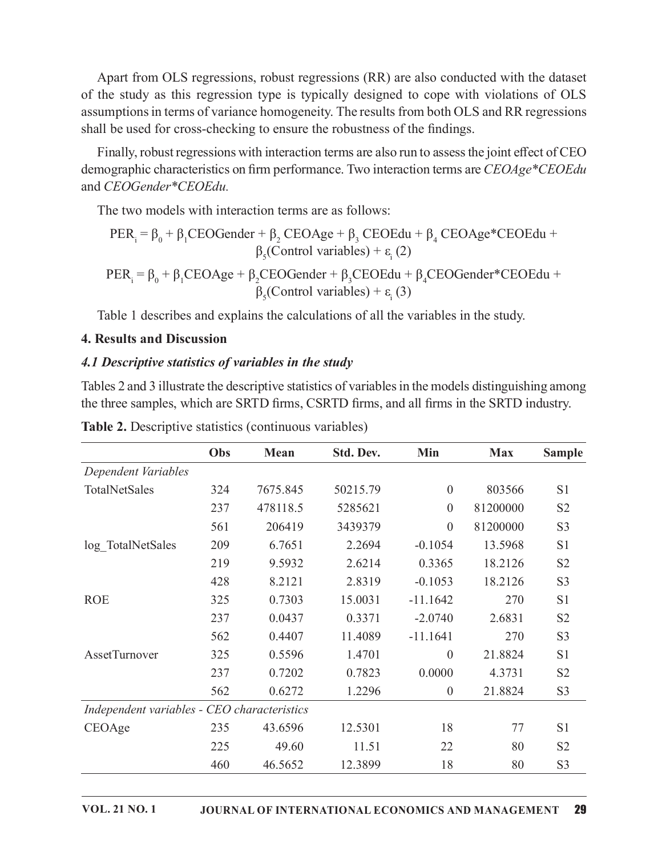Apart from OLS regressions, robust regressions (RR) are also conducted with the dataset of the study as this regression type is typically designed to cope with violations of OLS assumptions in terms of variance homogeneity. The results from both OLS and RR regressions shall be used for cross-checking to ensure the robustness of the findings.

Finally, robust regressions with interaction terms are also run to assess the joint effect of CEO demographic characteristics on firm performance. Two interaction terms are CEOAge\*CEOEdu and CEOGender\*CEOEdu.

PER<sup>L</sup> = β + βCEOGender + β CEOAge + β CEOEdu + β4 CEOAge\*CEOEdu + β5 (Control variables) + ε L PER<sup>L</sup> = β + βCEOAge + βCEOGender + βCEOEdu + β4CEOGender\*CEOEdu +

### 4. Results and Discussion

#### 4.1 Descriptive statistics of variables in the study

| and CLOGEnder CLOLUM.                                                                                                                                                                                                                                       |     |          |                                                        |                  |            |                |
|-------------------------------------------------------------------------------------------------------------------------------------------------------------------------------------------------------------------------------------------------------------|-----|----------|--------------------------------------------------------|------------------|------------|----------------|
| The two models with interaction terms are as follows:                                                                                                                                                                                                       |     |          |                                                        |                  |            |                |
| $PER_i = \beta_0 + \beta_1 CEOGender + \beta_2 CEOAge + \beta_3 CEOEdu + \beta_4 CEOAge*CEOEdu +$                                                                                                                                                           |     |          | $\beta_{5}$ (Control variables) + $\varepsilon_{1}(2)$ |                  |            |                |
| $PER_i = \beta_0 + \beta_1 CEOAge + \beta_2 CEOGender + \beta_3 CEOEdu + \beta_4 CEOGender * CEOEdu +$                                                                                                                                                      |     |          | $\beta_{5}$ (Control variables) + $\varepsilon_{1}(3)$ |                  |            |                |
| Table 1 describes and explains the calculations of all the variables in the study.                                                                                                                                                                          |     |          |                                                        |                  |            |                |
| <b>4. Results and Discussion</b>                                                                                                                                                                                                                            |     |          |                                                        |                  |            |                |
| 4.1 Descriptive statistics of variables in the study                                                                                                                                                                                                        |     |          |                                                        |                  |            |                |
| Tables 2 and 3 illustrate the descriptive statistics of variables in the models distinguishing among<br>the three samples, which are SRTD firms, CSRTD firms, and all firms in the SRTD industry.<br>Table 2. Descriptive statistics (continuous variables) |     |          |                                                        |                  |            |                |
|                                                                                                                                                                                                                                                             | Obs | Mean     | Std. Dev.                                              | Min              | <b>Max</b> | <b>Sample</b>  |
| Dependent Variables                                                                                                                                                                                                                                         |     |          |                                                        |                  |            |                |
| TotalNetSales                                                                                                                                                                                                                                               | 324 | 7675.845 | 50215.79                                               | $\overline{0}$   | 803566     | S1             |
|                                                                                                                                                                                                                                                             | 237 | 478118.5 | 5285621                                                | $\overline{0}$   | 81200000   | S <sub>2</sub> |
|                                                                                                                                                                                                                                                             | 561 | 206419   | 3439379                                                | $\boldsymbol{0}$ | 81200000   | S <sub>3</sub> |
| log TotalNetSales                                                                                                                                                                                                                                           | 209 | 6.7651   | 2.2694                                                 | $-0.1054$        | 13.5968    | S1             |
|                                                                                                                                                                                                                                                             | 219 | 9.5932   | 2.6214                                                 | 0.3365           | 18.2126    | S <sub>2</sub> |
|                                                                                                                                                                                                                                                             | 428 | 8.2121   | 2.8319                                                 | $-0.1053$        | 18.2126    | S <sub>3</sub> |
| <b>ROE</b>                                                                                                                                                                                                                                                  | 325 | 0.7303   | 15.0031                                                | $-11.1642$       | 270        | S <sub>1</sub> |
|                                                                                                                                                                                                                                                             | 237 | 0.0437   | 0.3371                                                 | $-2.0740$        | 2.6831     | S <sub>2</sub> |
|                                                                                                                                                                                                                                                             | 562 | 0.4407   | 11.4089                                                | $-11.1641$       | 270        | S <sub>3</sub> |
| AssetTurnover                                                                                                                                                                                                                                               | 325 | 0.5596   | 1.4701                                                 | $\boldsymbol{0}$ | 21.8824    | S1             |
|                                                                                                                                                                                                                                                             | 237 | 0.7202   | 0.7823                                                 | 0.0000           | 4.3731     | S <sub>2</sub> |
|                                                                                                                                                                                                                                                             | 562 | 0.6272   | 1.2296                                                 | $\overline{0}$   | 21.8824    | S <sub>3</sub> |
| Independent variables - CEO characteristics                                                                                                                                                                                                                 |     |          |                                                        |                  |            |                |
| CEOAge                                                                                                                                                                                                                                                      | 235 | 43.6596  | 12.5301                                                | 18               | 77         | S1             |
|                                                                                                                                                                                                                                                             | 225 | 49.60    | 11.51                                                  | 22               | 80         | S <sub>2</sub> |
|                                                                                                                                                                                                                                                             | 460 | 46.5652  | 12.3899                                                | 18               | 80         | S <sub>3</sub> |

Table 2. Descriptive statistics (continuous variables)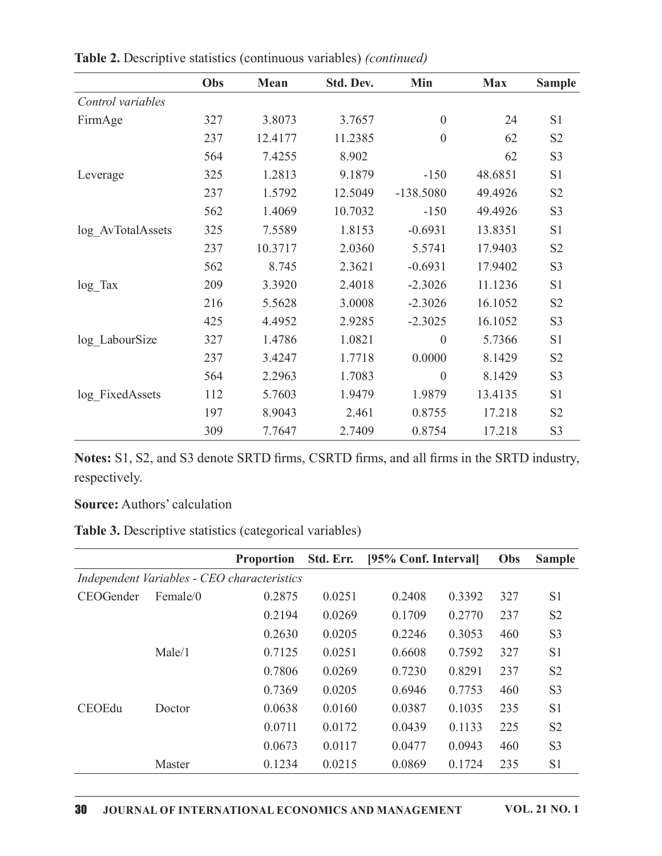| Table 2. Descriptive statistics (continuous variables) (continued) |     |         |           |                  |            |                |
|--------------------------------------------------------------------|-----|---------|-----------|------------------|------------|----------------|
|                                                                    | Obs | Mean    | Std. Dev. | Min              | <b>Max</b> | <b>Sample</b>  |
| Control variables                                                  |     |         |           |                  |            |                |
| FirmAge                                                            | 327 | 3.8073  | 3.7657    | $\boldsymbol{0}$ | 24         | S1             |
|                                                                    | 237 | 12.4177 | 11.2385   | $\boldsymbol{0}$ | 62         | S <sub>2</sub> |
|                                                                    | 564 | 7.4255  | 8.902     |                  | 62         | S <sub>3</sub> |
| Leverage                                                           | 325 | 1.2813  | 9.1879    | $-150$           | 48.6851    | S1             |
|                                                                    | 237 | 1.5792  | 12.5049   | $-138.5080$      | 49.4926    | S <sub>2</sub> |
|                                                                    | 562 | 1.4069  | 10.7032   | $-150$           | 49.4926    | S <sub>3</sub> |
| log_AvTotalAssets                                                  | 325 | 7.5589  | 1.8153    | $-0.6931$        | 13.8351    | S1             |
|                                                                    | 237 | 10.3717 | 2.0360    | 5.5741           | 17.9403    | S <sub>2</sub> |
|                                                                    | 562 | 8.745   | 2.3621    | $-0.6931$        | 17.9402    | S <sub>3</sub> |
| $log_{1}$ Tax                                                      | 209 | 3.3920  | 2.4018    | $-2.3026$        | 11.1236    | S1             |
|                                                                    | 216 | 5.5628  | 3.0008    | $-2.3026$        | 16.1052    | S <sub>2</sub> |
|                                                                    | 425 | 4.4952  | 2.9285    | $-2.3025$        | 16.1052    | S3             |
| log_LabourSize                                                     | 327 | 1.4786  | 1.0821    | $\overline{0}$   | 5.7366     | S1             |
|                                                                    | 237 | 3.4247  | 1.7718    | 0.0000           | 8.1429     | S <sub>2</sub> |
|                                                                    | 564 | 2.2963  | 1.7083    | $\overline{0}$   | 8.1429     | S <sub>3</sub> |
| log_FixedAssets                                                    | 112 | 5.7603  | 1.9479    | 1.9879           | 13.4135    | S1             |
|                                                                    | 197 | 8.9043  | 2.461     | 0.8755           | 17.218     | S2             |
|                                                                    | 309 | 7.7647  | 2.7409    | 0.8754           | 17.218     | S3             |

Table 2. Descriptive statistics (continuous variables) (continued)

| log LabourSize  | 327                                 | 1.4786                                                                                    | 1.0821    |                      | $\boldsymbol{0}$ | 5.7366  | S1                         |
|-----------------|-------------------------------------|-------------------------------------------------------------------------------------------|-----------|----------------------|------------------|---------|----------------------------|
|                 | 237                                 | 3.4247                                                                                    | 1.7718    | 0.0000               |                  | 8.1429  | S <sub>2</sub>             |
|                 | 564                                 | 2.2963                                                                                    | 1.7083    |                      | $\boldsymbol{0}$ | 8.1429  | S3                         |
| log FixedAssets | 112                                 | 5.7603                                                                                    | 1.9479    | 1.9879               |                  | 13.4135 | S1                         |
|                 | 197                                 | 8.9043                                                                                    | 2.461     | 0.8755               |                  | 17.218  | S <sub>2</sub>             |
|                 | 309                                 | 7.7647                                                                                    | 2.7409    | 0.8754               |                  | 17.218  | S3                         |
| respectively.   | <b>Source: Authors' calculation</b> | Notes: S1, S2, and S3 denote SRTD firms, CSRTD firms, and all firms in the SRTD industry, |           |                      |                  |         |                            |
|                 |                                     | Table 3. Descriptive statistics (categorical variables)                                   |           |                      |                  |         |                            |
|                 |                                     | Proportion                                                                                | Std. Err. | [95% Conf. Interval] |                  | Obs     | <b>Sample</b>              |
|                 |                                     | Independent Variables - CEO characteristics                                               |           |                      |                  |         |                            |
| CEOGender       | Female/0                            | 0.2875                                                                                    | 0.0251    | 0.2408               | 0.3392           | 327     | S1                         |
|                 |                                     | 0.2194                                                                                    | 0.0269    | 0.1709               | 0.2770           | 237     | S <sub>2</sub>             |
|                 |                                     | 0.2630                                                                                    | 0.0205    | 0.2246               | 0.3053           | 460     | S <sub>3</sub>             |
|                 | Male/1                              | 0.7125                                                                                    | 0.0251    | 0.6608               | 0.7592           | 327     | S1                         |
|                 |                                     | 0.7806                                                                                    | 0.0269    | 0.7230               | 0.8291           | 237     | S <sub>2</sub>             |
|                 |                                     | 0.7369                                                                                    | 0.0205    | 0.6946               | 0.7753           | 460     | S3                         |
| CEOEdu          | Doctor                              | 0.0638                                                                                    | 0.0160    | 0.0387               | 0.1035           | 235     | S <sub>1</sub>             |
|                 |                                     | 0.0711                                                                                    | 0.0172    | 0.0439               | 0.1133           | 225     | $\ensuremath{\mathrm{S2}}$ |
|                 |                                     | 0.0673                                                                                    | 0.0117    | 0.0477               | 0.0943           | 460     | S3                         |
|                 | Master                              | 0.1234                                                                                    | 0.0215    | 0.0869               | 0.1724           | 235     | S1                         |
|                 |                                     |                                                                                           |           |                      |                  |         |                            |
|                 |                                     |                                                                                           |           |                      |                  |         |                            |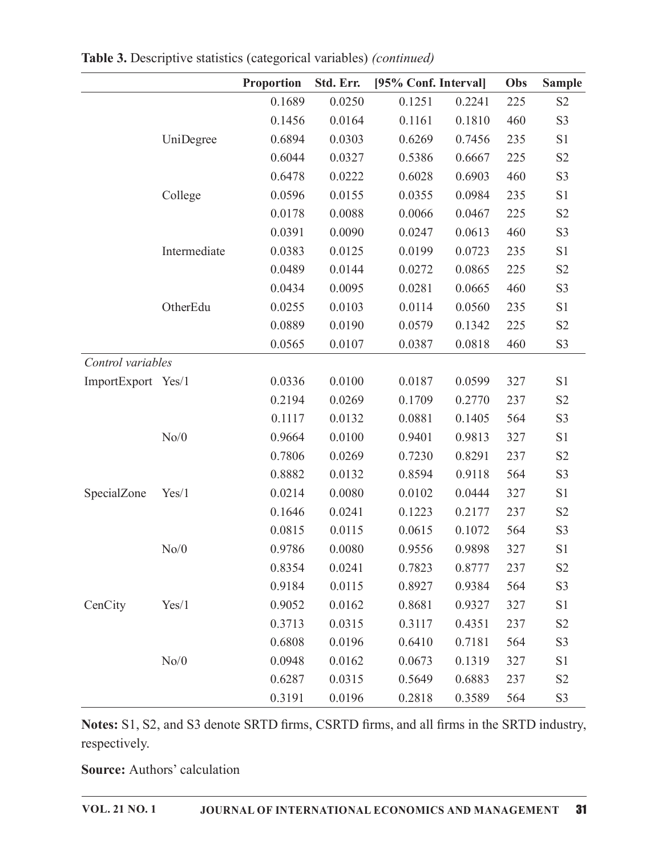|                    |              | Proportion | Std. Err. | [95% Conf. Interval] |        | Obs | <b>Sample</b>              |
|--------------------|--------------|------------|-----------|----------------------|--------|-----|----------------------------|
|                    |              | 0.1689     | 0.0250    | 0.1251               | 0.2241 | 225 | S <sub>2</sub>             |
|                    |              | 0.1456     | 0.0164    | 0.1161               | 0.1810 | 460 | S <sub>3</sub>             |
|                    | UniDegree    | 0.6894     | 0.0303    | 0.6269               | 0.7456 | 235 | S1                         |
|                    |              | 0.6044     | 0.0327    | 0.5386               | 0.6667 | 225 | S <sub>2</sub>             |
|                    |              | 0.6478     | 0.0222    | 0.6028               | 0.6903 | 460 | S <sub>3</sub>             |
|                    | College      | 0.0596     | 0.0155    | 0.0355               | 0.0984 | 235 | S1                         |
|                    |              | 0.0178     | 0.0088    | 0.0066               | 0.0467 | 225 | S <sub>2</sub>             |
|                    |              | 0.0391     | 0.0090    | 0.0247               | 0.0613 | 460 | S3                         |
|                    | Intermediate | 0.0383     | 0.0125    | 0.0199               | 0.0723 | 235 | S1                         |
|                    |              | 0.0489     | 0.0144    | 0.0272               | 0.0865 | 225 | S2                         |
|                    |              | 0.0434     | 0.0095    | 0.0281               | 0.0665 | 460 | S <sub>3</sub>             |
|                    | OtherEdu     | 0.0255     | 0.0103    | 0.0114               | 0.0560 | 235 | S1                         |
|                    |              | 0.0889     | 0.0190    | 0.0579               | 0.1342 | 225 | $\ensuremath{\mathrm{S2}}$ |
|                    |              | 0.0565     | 0.0107    | 0.0387               | 0.0818 | 460 | S3                         |
| Control variables  |              |            |           |                      |        |     |                            |
| ImportExport Yes/1 |              | 0.0336     | 0.0100    | 0.0187               | 0.0599 | 327 | $\rm S1$                   |
|                    |              | 0.2194     | 0.0269    | 0.1709               | 0.2770 | 237 | S2                         |
|                    |              | 0.1117     | 0.0132    | 0.0881               | 0.1405 | 564 | S <sub>3</sub>             |
|                    | No/0         | 0.9664     | 0.0100    | 0.9401               | 0.9813 | 327 | $\rm S1$                   |
|                    |              | 0.7806     | 0.0269    | 0.7230               | 0.8291 | 237 | S <sub>2</sub>             |
|                    |              | 0.8882     | 0.0132    | 0.8594               | 0.9118 | 564 | S <sub>3</sub>             |
| SpecialZone        | Yes/1        | 0.0214     | 0.0080    | 0.0102               | 0.0444 | 327 | S1                         |
|                    |              | 0.1646     | 0.0241    | 0.1223               | 0.2177 | 237 | $\ensuremath{\mathrm{S2}}$ |
|                    |              | 0.0815     | 0.0115    | 0.0615               | 0.1072 | 564 | S3                         |
|                    | No/0         | 0.9786     | 0.0080    | 0.9556               | 0.9898 | 327 | $\ensuremath{\mathrm{S}}1$ |
|                    |              | 0.8354     | 0.0241    | 0.7823               | 0.8777 | 237 | $\mathbf{S2}$              |
|                    |              | 0.9184     | 0.0115    | 0.8927               | 0.9384 | 564 | S <sub>3</sub>             |
| CenCity            | Yes/1        | 0.9052     | 0.0162    | 0.8681               | 0.9327 | 327 | S1                         |
|                    |              | 0.3713     | 0.0315    | 0.3117               | 0.4351 | 237 | S <sub>2</sub>             |
|                    |              | 0.6808     | 0.0196    | 0.6410               | 0.7181 | 564 | S3                         |
|                    | No/0         | 0.0948     | 0.0162    | 0.0673               | 0.1319 | 327 | S1                         |
|                    |              | 0.6287     | 0.0315    | 0.5649               | 0.6883 | 237 | $\mathbf{S2}$              |
|                    |              | 0.3191     | 0.0196    | 0.2818               | 0.3589 | 564 | $\mathbf{S3}$              |

Table 3. Descriptive statistics (categorical variables) (continued)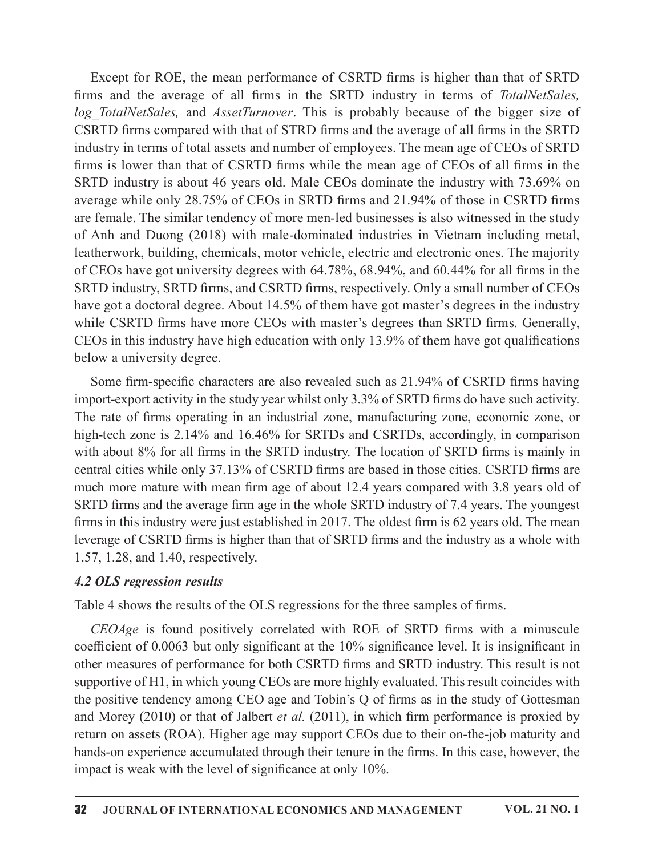Except for ROE, the mean performance of CSRTD firms is higher than that of SRTD Except for ROE, the mean performance of CSRTD firms is higher than that of SRTD firms and the average of all firms in the SRTD industry in terms of *TotalNetSales*,  $log\_TotalNetSales$ , and *AssetTurnover*. This is probably because o CSRTD firms compared with that of STRD firms and the average of all firms in the SRTD industry in terms of total assets and number of employees. The mean age of CEOs of SRTD firms is lower than that of CSRTD firms while the mean age of CEOs of all firms in the SRTD industry is about 46 years old. Male CEOs dominate the industry with 73.69% on average while only  $28.75\%$  of CEOs in SRTD firms and  $21.94\%$  of those in CSRTD firms are female. The similar tendency of more men-led businesses is also witnessed in the study of Anh and Duong (2018) with male-dominated industries in Vietnam including metal, leatherwork, building, chemicals, motor vehicle, electric and electronic ones. The majority of CEOs have got university degrees with  $64.78\%$ ,  $68.94\%$ , and  $60.44\%$  for all firms in the SRTD industry, SRTD firms, and CSRTD firms, respectively. Only a small number of CEOs have got a doctoral degree. About 14.5% of them have got master's degrees in the industry while CSRTD firms have more CEOs with master's degrees than SRTD firms. Generally,  $CEOs$  in this industry have high education with only 13.9% of them have got qualifications below a university degree.

Some firm-specific characters are also revealed such as 21.94% of CSRTD firms having import-export activity in the study year whilst only 3.3% of SRTD firms do have such activity. The rate of firms operating in an industrial zone, manufacturing zone, economic zone, or high-tech zone is 2.14% and 16.46% for SRTDs and CSRTDs, accordingly, in comparison with about  $8\%$  for all firms in the SRTD industry. The location of SRTD firms is mainly in central cities while only 37.13% of CSRTD firms are based in those cities. CSRTD firms are much more mature with mean firm age of about 12.4 years compared with 3.8 years old of SRTD firms and the average firm age in the whole SRTD industry of 7.4 years. The youngest firms in this industry were just established in 2017. The oldest firm is  $62$  years old. The mean leverage of CSRTD firms is higher than that of SRTD firms and the industry as a whole with 1.57, 1.28, and 1.40, respectively. Four antivary of the state of the state of the state of the state of them-specification of the state of firms operating in an industrial zone, manufacturing zone, economic zone, or h-tech zone is 2.14% and 16.46% for SRTD

### 4.2 OLS regression results

Table 4 shows the results of the OLS regressions for the three samples of firms.

coefficient of  $0.0063$  but only significant at the  $10\%$  significance level. It is insignificant in other measures of performance for both CSRTD firms and SRTD industry. This result is not supportive of H1, in which young CEOs are more highly evaluated. This result coincides with the positive tendency among CEO age and Tobin's  $Q$  of firms as in the study of Gottesman with about 8% for all firms in the SRTD industry. The location of SRTD firms is mainly in central clies while only 37.13% of CSRTD firms are based in those cities. CSRTD firms are much more mature with mean firm age of ab return on assets (ROA). Higher age may support CEOs due to their on-the-job maturity and hands-on experience accumulated through their tenure in the firms. In this case, however, the impact is weak with the level of significance at only 10%.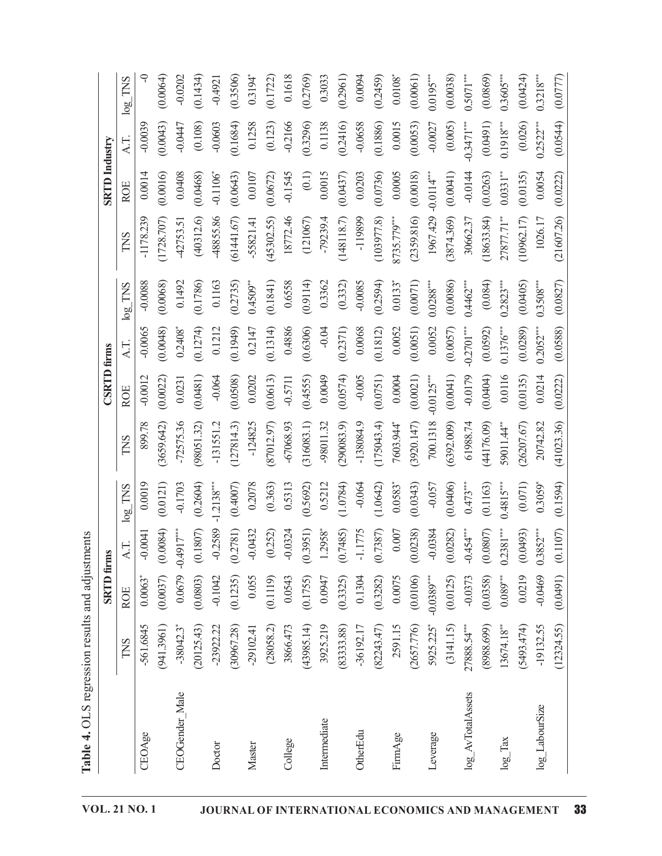| CEOAge            |                         | <b>SRTD</b> firms     |                       |                       |             | <b>CSRTD</b> firms |                       |               |             | <b>SRTD</b> Industry   |              |             |
|-------------------|-------------------------|-----------------------|-----------------------|-----------------------|-------------|--------------------|-----------------------|---------------|-------------|------------------------|--------------|-------------|
|                   | TNS                     | <b>ROE</b>            | A.T.                  | $log\_TNS$            | <b>TNS</b>  | <b>ROE</b>         | A.T.                  | $\log\_TNS$   | TNS         | <b>ROE</b>             | AT.          | $\log\_TNS$ |
|                   | 561.6845                | $0.0063$ <sup>*</sup> | $-0.0041$             | 0.0019                | 899.78      | $-0.0012$          | $-0.0065$             | $-0.0088$     | $-1178.239$ | 0.0014                 | $-0.0039$    |             |
|                   | (941.3961)              | (0.0037)              | (0.0084)              | (0.0121)              | (3659.642)  | (0.0022)           | (0.0048)              | (0.0068)      | (1728.707)  | (0.0016)               | (0.0043)     | (0.0064)    |
| CEOGender_Male    | $-38042.3$ <sup>*</sup> | 0.0679                | $-0.4917***$          | $-0.1703$             | $-72575.36$ | 0.0231             | $0.2408*$             | 0.1492        | 42753.51    | 0.0408                 | $-0.0447$    | $-0.0202$   |
|                   | (20125.43)              | (0.0803)              | (0.1807)              | (0.2604)              | (98051.32)  | (0.0481)           | (0.1274)              | (0.1786)      | (40312.6)   | (0.0468)               | (0.108)      | (0.1434)    |
| Doctor            | $-23922.22$             | $-0.1042$             | $-0.2589$             | $-1.2138***$          | $-131551.2$ | $-0.064$           | 0.1212                | 0.1163        | 48855.86    | $-0.1106$ <sup>*</sup> | $-0.0603$    | $-0.4921$   |
|                   | (30967.28)              | (0.1235)              | (0.2781)              | (0.4007)              | (127814.3)  | (0.0508)           | (0.1949)              | (0.2735)      | (61441.67)  | (0.0643)               | (0.1684)     | (0.3506)    |
| Master            | $-29102.41$             | 0.055                 | $-0.0432$             | 0.2078                | $-124825$   | 0.0202             | 0.2147                | $0.4509**$    | $-55821.41$ | 0.0107                 | 0.1258       | $0.3194*$   |
|                   | (28058.2)               | (0.1119)              | (0.252)               | (0.363)               | (87012.97)  | (0.0613)           | (0.1314)              | (0.1841)      | (45302.55)  | (0.0672)               | (0.123)      | (0.1722)    |
| College           | 3866.473                | 0.0543                | $-0.0324$             | 0.5313                | $-67068.93$ | $-0.5711$          | 0.4886                | 0.6558        | 18772.46    | $-0.1545$              | $-0.2166$    | 0.1618      |
|                   | (43985.14)              | (0.1755)              | (0.3951)              | (0.5692)              | (316083.1)  | (0.4555)           | (0.6306)              | (0.9114)      | (121067)    | (0.1)                  | (0.3296)     | (0.2769)    |
| Intermediate      | 3925.219                | 0.0947                | $1.2958$ <sup>*</sup> | 0.5212                | -98011.32   | 0.0049             | $-0.04$               | 0.3362        | $-79239.4$  | 0.0015                 | 0.1138       | 0.3033      |
|                   | (83333.88)              | (0.3325)              | (0.7485)              | (1.0784)              | (290083.9)  | (0.0574)           | (0.2371)              | (0.332)       | (148118.7)  | (0.0437)               | (0.2416)     | (0.2961)    |
| OtherEdu          | $-36192.17$             | 0.1304                | $-1.1775$             | $-0.064$              | $-138084.9$ | $-0.005$           | 0.0068                | $-0.0085$     | -119899     | 0.0203                 | $-0.0658$    | 0.0094      |
|                   | (82243.47)              | (0.3282)              | (0.7387)              | (1.0642)              | (175043.4)  | (0.0751)           | (0.1812)              | (0.2594)      | (103977.8)  | (0.0736)               | (0.1886)     | (0.2459)    |
| FirmAge           | 2591.15                 | 0.0075                | 0.007                 | 0.0583                | 7603.944*   | 0.0004             | 0.0052                | $33*$<br>0.01 | 8735.779*** | 0.0005                 | 0.0015       | $0.0108*$   |
|                   | (2657.776)              | (0.0106)              | (0.0238)              | (0.0343)              | (3920.147)  | (0.0021)           | (0.0051)              | (0.0071)      | (2359.816)  | (0.0018)               | (0.0053)     | (0.0061)    |
| Leverage          | 5925.225                | $-0.0389**$           | $-0.0384$             | $-0.057$              | 700.1318    | $-0.0125***$       | 0.0052                | $0.0288***$   | 1967.429    | $-0.0114$              | $-0.0027$    | $0.0195***$ |
|                   | (3141.15)               | (0.0125)              | (0.0282)              | (0.0406)              | (6392.009)  | (0.0041)           | (0.0057)              | (0.0086)      | (3874.369)  | (0.0041)               | (0.005)      | (0.0038)    |
| log_AvTotalAssets | 27888.54***             | $-0.0373$             | $-0.454***$           | $0.473***$            | 61988.74    | $-0.0179$          | $-0.2701***$          | $0.4462***$   | 30662.37    | $-0.0144$              | $-0.3471***$ | $0.5071***$ |
|                   | (8988.699)              | (0.0358)              | (0.0807)              | (0.1163)              | (44176.09)  | (0.0404)           | (0.0592)              | (0.084)       | (18633.84)  | (0.0263)               | (0.0491)     | (0.0869)    |
| $log_2$ Tax       | 13674.18**              | $0.089***$            | $0.2381***$           | $0.4815***$           | 59011.44"   | 0.0116             | $0.1376***$           | $0.2823***$   | 27877.71**  | $0.0331***$            | $0.1918***$  | $0.3605***$ |
|                   | (5493.474)              | 0.0219                | (0.0493)              | (0.071)               | (26207.67)  | (0.0135)           | (0.0289)              | (0.0405)      | (10962.17)  | (0.0135)               | (0.026)      | (0.0424)    |
| log_LabourSize    | $-19132.55$             | $-0.0469$             | $0.3852*$             | $0.3059$ <sup>*</sup> | 20742.82    | 0.0214             | $0.2052$ <sup>*</sup> | $0.3508**$    | 1026.17     | 0.0054                 | $0.2522$ **  | $0.3218***$ |
|                   | (12324.55)              | (16 <sub>10</sub> )   | (0.1107)              | (0.1594)              | (41023.36)  | (0.0222)           | (0.0588)              | (0.0827)      | (21607.26)  | (0.0222)               | (0.0544)     | (0.0777)    |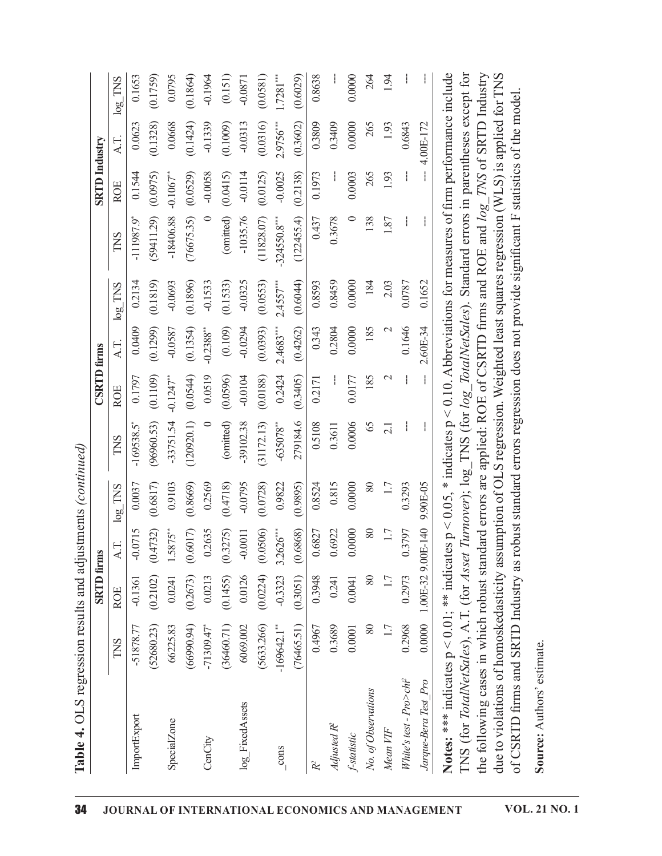| l<br>i<br>!                          |
|--------------------------------------|
| į                                    |
|                                      |
| てん からなつ スキーこうりき きょうこうりきろうき<br>j<br>۱ |
| C<br>C<br>C                          |
| ו<br>ן                               |
| Ĭ.<br>l                              |

| (52680.23)<br>-51878.77<br>TNS<br>ImportExport      |        | <b>SRTD</b> firms |                             |           |             | <b>CSRTD</b> firms     |               |                         |                          | <b>SRTD</b> Industry |           |             |
|-----------------------------------------------------|--------|-------------------|-----------------------------|-----------|-------------|------------------------|---------------|-------------------------|--------------------------|----------------------|-----------|-------------|
|                                                     | ROE    |                   | A.T.                        | $log$ TNS | TNS         | <b>ROE</b>             | AT.           | TNS<br>log <sub>o</sub> | TNS                      | ROE                  | AT.       | $log$ TNS   |
|                                                     |        | $-0.1361$         | $-0.0715$                   | 0.0037    | $-169538.5$ | 0.1797                 | 0.0409        | 0.2134                  | $-111987.9$ <sup>*</sup> | 0.1544               | 0.0623    | 0.1653      |
|                                                     |        | (0.2102)          | (0.4732)                    | (0.6817)  | (96960.53)  | (0.1109)               | (0.1299)      | (0.1819)                | (59411.29)               | (0.0975)             | (0.1328)  | (0.1759)    |
| 66225.83<br>SpecialZone                             |        | 0.0241            | $1.5875**$                  | 0.9103    | $-33751.54$ | $-0.1247$ **           | -0.0587       | $-0.0693$               | $-18406.88$              | $-0.1067**$          | 0.0668    | 0.0795      |
| (66990.94)                                          |        | (0.2673)          | (0.6017)                    | (0.8669)  | (120920.1)  | (0.0544)               | (0.1354)      | (0.1896)                | (76675.35)               | (0.0529)             | (0.1424)  | (0.1864)    |
| $-71309.47$<br>CenCity                              |        | 0.0213            | 0.2635                      | 0.2569    | $\circ$     | 0.0519                 | $-0.2388$ **  | $-0.1533$               | $\circ$                  | $-0.0058$            | $-0.1339$ | $-0.1964$   |
| (36460.71)                                          |        | (0.1455)          | (0.3275)                    | (0.4718)  | (omitted)   | (0.0596)               | (0.109)       | 1533)<br>$\ddot{\circ}$ | (omitted)                | (0.0415)             | (0.1009)  | (0.151)     |
| 6069.002<br>log_FixedAssets                         |        | 0.0126            | $-0.0011$                   | $-0.0795$ | $-39102.38$ | $-0.0104$              | $-0.0294$     | $-0.0325$               | $-1035.76$               | $-0.0114$            | $-0.0313$ | $-0.0871$   |
| (5633.266)                                          |        | (0.0224)          | (0.0506)                    | (0.0728)  | (31172.13)  | (0.0188)               | (0.0393)      | (0.0553)                | (11828.07)               | (0.0125)             | (0.0316)  | (0.0581)    |
| $-169642.1***$<br>$\frac{\text{cons}}{\text{cons}}$ |        | $-0.3323$         | $3.2626***$                 | 0.9822    | $-635078**$ | 0.2424                 | $2.4683***$   | $2.4557***$             | $-324550.8***$           | $-0.0025$            | 2.9756*** | $1.7281***$ |
| (76465.51)                                          |        | (0.3051)          | (0.6868)                    | (0.9895)  | 279184.6    | (0.3405)               | (0.4262)      | (0.6044)                | (122455.4)               | (0.2138)             | (0.3602)  | (0.6029)    |
| 0.4967                                              |        | 0.3948            | 0.6827                      | 0.8524    | 0.5108      | 0.2171                 | 0.343         | 0.8593                  | 0.437                    | 0.1973               | 0.3809    | 0.8638      |
| Adjusted R <sup>2</sup>                             | 0.3689 | 0.241             | 0.6922                      | 0.815     | 0.3611      |                        | 0.2804        | 0.8459                  | 0.3678                   |                      | 0.3409    |             |
| 0.0001<br>f-statistic                               |        | 0.0041            | 0.0000                      | 0.0000    | 0.0006      | 0.0177                 | 0.0000        | 0.0000                  | $\circ$                  | 0.0003               | 0.0000    | 0.0000      |
| No. of Observations                                 | 80     | 80                | 80                          | 80        | 65          | 185                    | 185           | 184                     | 138                      | 265                  | 265       | 264         |
| Mean VIF                                            | 1.7    | 1.7               | 1.7                         | 1.7       | 2.1         | $\mathcal{L}$          | $\mathcal{L}$ | 2.03                    | 1.87                     | 1.93                 | 1.93      | 1.94        |
| 0.2968<br>White's test - $Pro>chi^2$                |        | 0.2973            | 0.3797                      | 0.3293    |             |                        | 0.1646        | 0.0787                  |                          |                      | 0.6843    |             |
|                                                     | 0.0000 |                   | 1.00E-32 9.00E-140 9.90E-05 |           | ł,          | $\mathord{\downarrow}$ | 2.60E-34      | 0.1652                  |                          |                      | 4.00E-172 |             |

s test - Pro<br>
Sera Test<br>
S: \*\*\* in<br>
(for Tota<br>
Illowing<br>
NRTD fire<br>
RTD fire<br>
e: Authoo  $\sim$   $\frac{1}{\mu}$  0.2988 0.2973 0.3797 0.3293  $\sim$   $\sim$  0.1646 0.0787  $\sim$   $\sim$  0.6843  $\sim$   $\mu$ <br>  $\mu$  0.0000 1.00E-32 9.00E-140 9.90E-45  $\sim$   $\sim$  2.60E-34 0.1625  $\sim$  0.1627  $\sim$   $\sim$  4.00E-172<br>
dicates p < 0.01; \*\* indic  $\frac{Jarg}{JSE}$  is the set of  $\frac{1}{2}$ XH%HUD 7HVWB3UR 06-32 900E-140 9.90E-05  $-$  2.60E-34 0.1652  $-$  4.00E-712  $+$  didentes  $p < 0.10$ , Abbeviations for measures of furn performance include for *Asset Turnover*); log\_TNS (for *log\_TotalNetSales*). Standar Notes: \*\*\* indicates<br>TNS (for *TotalNetSc*<br>the following cases i<br>due to violations of h<br>of CSRTD firms and<br>Source: Authors' estin<br>Source: Authors' estin e de la contradición de la contradición de la contradición de la contradición de la contradición de la contrad<br>En la contradición de la contradición de la contradición de la contradición de la contradición de la contradic < 0.01; \*\* indicates<br>s), A.T. (for *Asset 1*<br>which robust standa<br>noskedasticity assum<br>RTD Industry as rob<br>e.  $\mathsf{P} \times \mathsf{P} \times \mathsf{P}$  $(0.05,$ <br>  $(2.0000, 0.000)$ <br>  $(0.000, 0.000)$ <br>  $(0.000, 0.000)$ <br>  $(0.000, 0.000)$ \* indicates<br>log\_TNS<br>are applied<br>CLS regres r<br>ard errors r p < 0.10. Abbreviations for measures of firm performance include  $r \log$  *TotalNetSales*). Standard errors in parentheses except for COE of CSRTD firms and ROE and  $\log$  *TNS* of SRTD Industry on. Weighted least squares regre NS (for *TotalNetSales*), A.T. (for<br>ne following cases in which robus<br>ne to violations of homoskedastic<br>f CSRTD firms and SRTD Indust<br>**ource:** Authors' estimate. Asset<br>t stand<br>ty ass<br>y as r Turno<br>ard er<br>imptic<br>bust s ver); log\_TNS (for log\_*TotalNetSales*). St<br>rors are applied: ROE of CSRTD firms an<br>n of OLS regression. Weighted least squar<br>tandard errors regression does not provide andard errors in parentheses<br>d ROE and  $log\_TNS$  of SRT<br>es regression (WLS) is appli<br>significant F statistics of the<br>significant F statistics of the xcept for<br>Industry<br>I for TNS<br>nodel. the following cases in which robust standard errors are applied: ROE of CSRTD firms and ROE and *log. TNS* of SRTD Industry<br>due to violations of homoskedasticity assumption of OLS regression. Weighted least squares regress ficant<br> *i*  $\mathord{\text{I}}$ F statistics of the model.<br>The model of the model of the model of the model of the model of the model of the model of the model of the model of the model of the model of the model of the model of the model of the model of

 $\mathcal{S}$ urce: Authors' estim<br> die ook die stel van die stel van die stel van die stel van die stel van die stel van die stel van die stel va<br>Die stel van die stel van die stel van die stel van die stel van die stel van die stel van die stel van die st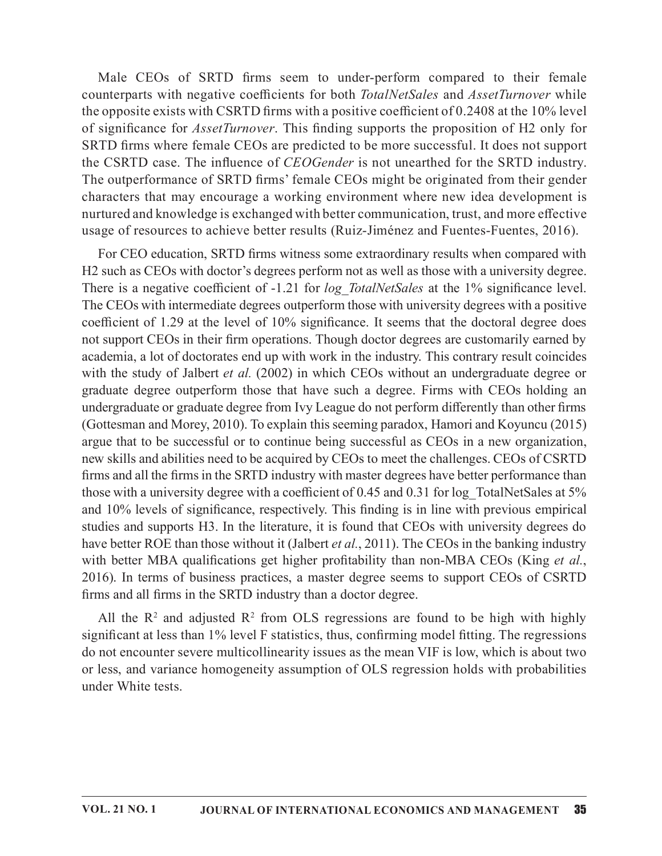Male CEOs of SRTD firms seem to under-perform compared to their female<br>unterparts with negative coefficients for both *TotalNetSales* and *AssetTurnover* while<br>copposite exists with CSRTD firms with a positive coefficient counterparts with negative coefficients for both TotalNetSales and AssetTurnover while the opposite exists with CSRTD firms with a positive coefficient of  $0.2408$  at the 10% level of significance for *AssetTurnover*. This finding supports the proposition of H2 only for SRTD firms where female CEOs are predicted to be more successful. It does not support the CSRTD case. The influence of *CEOGender* is not unearthed for the SRTD industry. The outperformance of SRTD firms' female CEOs might be originated from their gender characters that may encourage a working environment where new idea development is nurtured and knowledge is exchanged with better communication, trust, and more effective usage of resources to achieve better results (Ruiz-Jiménez and Fuentes-Fuentes, 2016).

For CEO education, SRTD firms witness some extraordinary results when compared with H2 such as CEOs with doctor's degrees perform not as well as those with a university degree. There is a negative coefficient of -1.21 for *log TotalNetSales* at the 1% significance level. The CEOs with intermediate degrees outperform those with university degrees with a positive coefficient of 1.29 at the level of  $10\%$  significance. It seems that the doctoral degree does not support CEOs in their firm operations. Though doctor degrees are customarily earned by academia, a lot of doctorates end up with work in the industry. This contrary result coincides with the study of Jalbert et al. (2002) in which CEOs without an undergraduate degree or graduate degree outperform those that have such a degree. Firms with CEOs holding an undergraduate or graduate degree from Ivy League do not perform differently than other firms (Gottesman and Morey, 2010). To explain thisseeming paradox, Hamori and Koyuncu (2015) argue that to be successful or to continue being successful as CEOs in a new organization, new skills and abilities need to be acquired by CEOs to meet the challenges. CEOs of CSRTD firms and all the firms in the SRTD industry with master degrees have better performance than those with a university degree with a coefficient of 0.45 and 0.31 for log TotalNetSales at  $5\%$ and 10% levels of significance, respectively. This finding is in line with previous empirical studies and supports H3. In the literature, it is found that CEOs with university degrees do have better ROE than those without it (Jalbert *et al.*, 2011). The CEOs in the banking industry with better MBA qualifications get higher profitability than non-MBA CEOs (King et al., 2016). In terms of business practices, a master degree seems to support CEOs of CSRTD firms and all firms in the SRTD industry than a doctor degree. Indemia, a lot of doctorates end up with work in the industry. This contrary<br>th the study of Jalbert *et al.* (2002) in which CEOs without an undergraduate degree outperform those that have such a degree. Firms with C<br>der of doctorates end up with work in the industry. This contrary result coincides<br>of Jalbert *et al.* (2002) in which CEOs without an undergraduate degree or<br>e outperform those that have such a degree. Firms with CEOs holdin

All the  $\mathbb{R}^2$  and adjusted  $\mathbb{R}^2$  from OLS regressions are found to be high with highly significant at less than 1% level F statistics, thus, confirming model fitting. The regressions do not encounter severe multicollinearity issues as the mean VIF islow, which is about two or less, and variance homogeneity assumption of OLS regression holds with probabilities under White tests.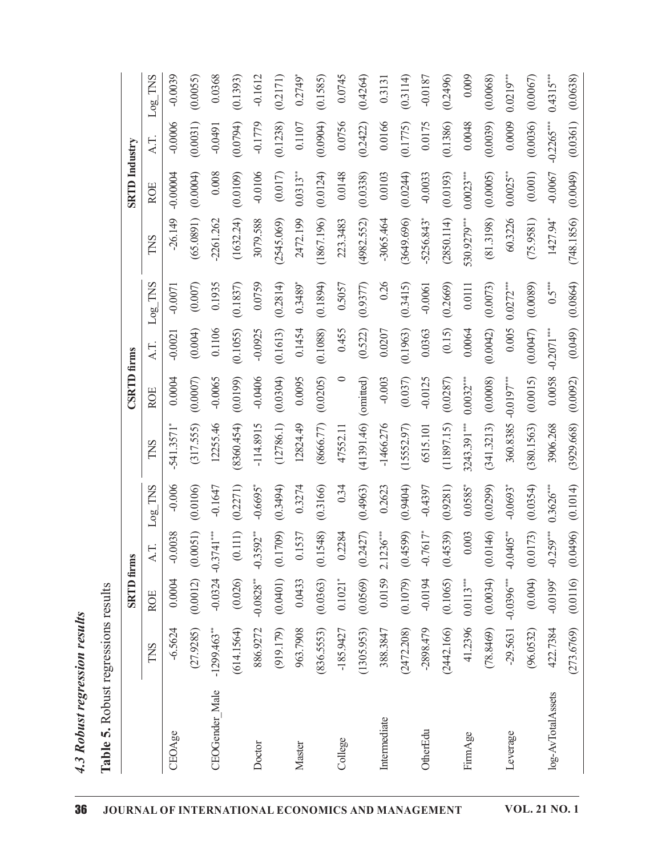| かついま                  |  |
|-----------------------|--|
| MUL<br>$\ddot{\circ}$ |  |
| ה א א ה' ה'           |  |
| t                     |  |

| <b>TOOL</b>        |
|--------------------|
| אסני לכל האסני ה   |
|                    |
| $\frac{1}{2}$<br>֓ |
|                    |
| ֧֛֓֕֜              |
| ٦<br>í             |

|                   |               | <b>SRTD</b> firms     |                        |             |                          | <b>CSRTD</b> firms |              |             |                          | <b>SRTD</b> Industry |              |             |
|-------------------|---------------|-----------------------|------------------------|-------------|--------------------------|--------------------|--------------|-------------|--------------------------|----------------------|--------------|-------------|
|                   | TNS           | <b>ROE</b>            | AT.                    | $Logу$ TNS  | TNS                      | <b>ROE</b>         | A.T.         | $Log\_TNS$  | TNS                      | <b>ROE</b>           | AT.          | $Log$ TNS   |
| CEOAge            | $-6.5624$     | 0.0004                | $-0.0038$              | $-0.006$    | $-541.3571$ <sup>*</sup> | 0.0004             | $-0.0021$    | $-0.0071$   | $-26.149$                | $-0.00004$           | $-0.0006$    | $-0.0039$   |
|                   | (27.9285)     | (0.0012)              | (0.0051)               | (0.0106)    | (317.555)                | (0.0007)           | (0.004)      | (0.007)     | (65.0891)                | (0.0004)             | (0.0031)     | (0.0055)    |
| CEOGender_Male    | $-1299.463**$ | $-0.0324$             | $-0.3741***$           | $-0.1647$   | 12255.46                 | $-0.0065$          | 0.1106       | 0.1935      | $-2261.262$              | 0.008                | $-0.0491$    | 0.0368      |
|                   | (614.1564)    | (0.026)               | $\left( 0.111\right)$  | (0.2271)    | (8360.454)               | (0.0199)           | (0.1055)     | (0.1837)    | (1632.24)                | (0.0109)             | (0.0794)     | (0.1393)    |
| Doctor            | 886.9272      | $-0.0828***$          | $-0.3592**$            | $-0.6695$   | $-114.8915$              | $-0.0406$          | $-0.0925$    | 0.0759      | 3079.588                 | $-0.0106$            | $-0.1779$    | $-0.1612$   |
|                   | (919.179)     | (0.0401)              | (0.1709)               | (0.3494)    | (12786.1)                | (0.0304)           | (0.1613)     | 0.2814      | (2545.069)               | (0.017)              | (0.1238)     | (0.2171)    |
| Master            | 963.7908      | 0.0433                | 0.1537                 | 0.3274      | 12824.49                 | 0.0095             | 0.1454       | $0.3489*$   | 2472.199                 | $0.0313**$           | 0.1107       | 0.2749      |
|                   | (836.5553)    | (0.0363)              | (0.1548)               | (0.3166)    | (8666.77)                | (0.0205)           | (0.1088)     | (0.1894)    | (1867.196)               | (0.0124)             | (0.0904)     | (0.1585)    |
| College           | $-185.9427$   | $0.1021$ <sup>*</sup> | 0.2284                 | 0.34        | 47552.11                 | $\circ$            | 0.455        | 0.5057      | 223.3483                 | 0.0148               | 0.0756       | 0.0745      |
|                   | (1305.953)    | (0.0569)              | (0.2427)               | (0.4963)    | (41391.46)               | (omitted)          | (0.522)      | (0.9377)    | (4982.552)               | (0.0338)             | (0.2422)     | (0.4264)    |
| Intermediate      | 388.3847      | 0.0159                | $2.1236***$            | 0.2623      | $-1466.276$              | $-0.003$           | 0.0207       | 0.26        | $-3065.464$              | 0.0103               | 0.0166       | 0.3131      |
|                   | (2472.208)    | (0.1079)              | (0.4599)               | (0.9404)    | (15552.97)               | (0.037)            | (0.1963)     | (0.3415)    | (3649.696)               | (0.0244)             | (0.1775)     | (0.3114)    |
| OtherEdu          | $-2898.479$   | $-0.0194$             | $-0.7617$ <sup>*</sup> | $-0.4397$   | 6515.101                 | $-0.0125$          | 0.0363       | $-0.0061$   | $-5256.843$ <sup>*</sup> | $-0.0033$            | 0.0175       | $-0.0187$   |
|                   | (2442.166)    | (0.1065)              | (0.4539)               | (0.9281)    | (11897.15)               | (0.0287)           | (0.15)       | (0.2669)    | (2850.114)               | (0.0193)             | (0.1386)     | (0.2496)    |
| FirmAge           | 41.2396       | $0.0113***$           | 0.003                  | $0.0585$ *  | 3243.391***              | $0.0032***$        | 0.0064       | $0.0111$    | 530.9279****             | $0.0023***$          | 0.0048       | 0.009       |
|                   | (78.8469)     | (0.0034)              | (0.0146)               | (0.0299)    | (341.3213)               | (0.0008)           | (0.0042)     | (0.0073)    | (81.3198)                | (0.0005)             | (0.0039)     | (0.0068)    |
| Leverage          | $-29.5631$    | $-0.0396***$          | $-0.0405$ **           | $-0.0693$ * | 360.8385                 | $-0.0197***$       | 0.005        | $0.0272***$ | 60.3226                  | $0.0025***$          | 0.0009       | $0.0219***$ |
|                   | (96.0532)     | (0.004)               | (0.0173)               | (0.0354)    | (380.1563)               | (0.0015)           | (0.0047)     | (0.0089)    | (75.9581)                | (0.001)              | (0.0036)     | (0.0067)    |
| log-AvTotalAssets | 422.7384      | $-0.0199*$            | $-0.259***$            | $0.3626***$ | 3906.268                 | 0.0058             | $-0.2071***$ | $0.5***$    | 1427.94*                 | $-0.0067$            | $-0.2265***$ | $0.4315***$ |
|                   | (273.6769)    | (0.0116)              | (0.0496)               | (0.1014)    | (3929.668)               | (0.0092)           | (0.049)      | 0.0864      | (748.1856)               | (0.0049)             | (0.0361)     | (0.0638)    |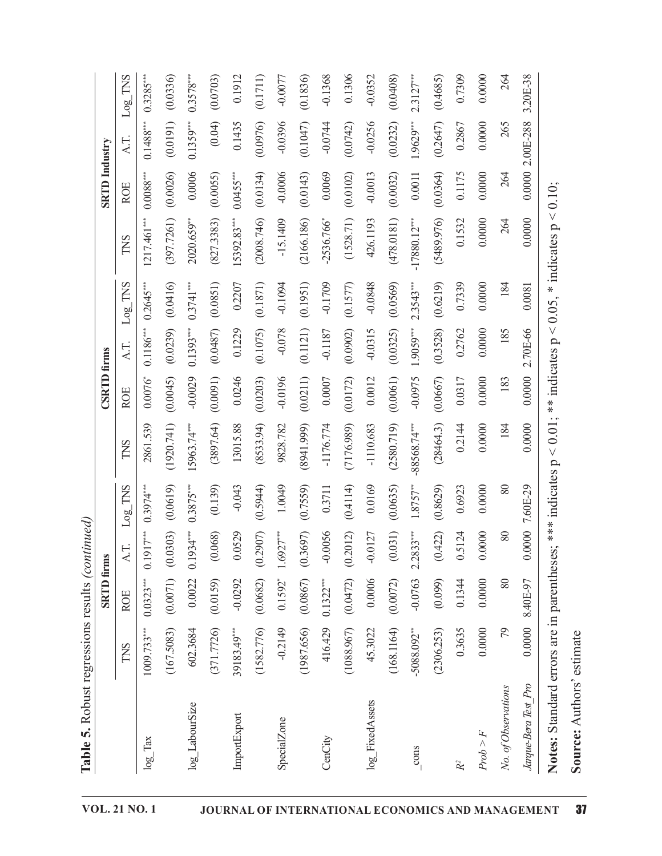|                                   |                           | <b>SRTD</b> firms | Table 5. Robust regressions results (continued) |                   |                | <b>CSRTD</b> firms |             |                          |                          | <b>SRTD</b> Industry |             |             |
|-----------------------------------|---------------------------|-------------------|-------------------------------------------------|-------------------|----------------|--------------------|-------------|--------------------------|--------------------------|----------------------|-------------|-------------|
|                                   | TNS                       | <b>ROE</b>        | A.T.                                            | $Log$ TNS         | TNS            | <b>ROE</b>         | A.T.        | TNS<br>Log               | TNS                      | <b>ROE</b>           | AT.         | $Log$ TNS   |
| $log_{1}Tx$                       | $1009.733***$             | $0.0323***$       | $0.1917***$                                     | $0.3974***$       | 2861.539       | $0.0076^{*}$       | $0.1186***$ | $0.2645***$              | 1217.461***              | $0.0088***$          | $0.1488***$ | $0.3285***$ |
|                                   | (167.5083)                | (0.0071)          | (0.0303)                                        | (0.0619)          | (1920.741)     | (0.0045)           | (0.0239)    | (0.0416)                 | (397.7261)               | (0.0026)             | (0.0191)    | (0.0336)    |
| log_LabourSize                    | 602.3684                  | 0.0022            | $0.1934***$                                     | $0.3875***$       | 15963.74***    | $-0.0029$          | $0.1393***$ | $0.3741***$              | 2020.659**               | 0.0006               | $0.1359***$ | $0.3578***$ |
|                                   | (371.7726)                | (0.0159)          | (0.068)                                         | (0.139)           | (3897.64)      | (0.0091)           | (0.0487)    | (0.0851)                 | (827.3383)               | (0.0055)             | (0.04)      | (0.0703)    |
| ImportExport                      | 39183.49***               | $-0.0292$         | 0.0529                                          | $-0.043$          | 13015.88       | 0.0246             | 0.1229      | 0.2207                   | 15392.83***              | $0.0455***$          | 0.1435      | 0.1912      |
|                                   | (1582.776)                | (0.0682)          | (0.2907)                                        | (0.5944)          | (853.94)       | (0.0203)           | (0.1075)    | (1281<br>(0.1)           | (2008.746)               | (0.0134)             | (0.0976)    | (0.1711)    |
| SpecialZone                       | $-0.2149$                 | $0.1592*$         | $1.6927***$                                     | 1.0049            | 9828.782       | $-0.0196$          | $-0.078$    | $-0.1094$                | $-15.1409$               | $-0.0006$            | $-0.0396$   | $-0.0077$   |
|                                   | (1987.656)                | (0.0867)          | (0.3697)                                        | (0.7559)          | (8941.999)     | (0.0211)           | (0.1121)    | 951)<br>$\overline{0}$ . | (2166.186)               | (0.0143)             | (0.1047)    | (0.1836)    |
| CenCity                           | 416.429                   | $0.1322***$       | $-0.0056$                                       | 0.3711            | $-1176.774$    | 0.0007             | $-0.1187$   | $-0.1709$                | $-2536.766$ <sup>*</sup> | 0.0069               | $-0.0744$   | $-0.1368$   |
|                                   | (1088.967)                | (0.0472)          | (0.2012)                                        | (0.4114)          | (7176.989)     | (0.0172)           | (0.0902)    | 577)<br>$\odot$          | (1528.71)                | (0.0102)             | (0.0742)    | 0.1306      |
| log_FixedAssets                   | 45.3022                   | 0.0006            | $-0.0127$                                       | 0.0169            | $-1110.683$    | 0.0012             | $-0.0315$   | $-0.0848$                | 426.1193                 | $-0.0013$            | $-0.0256$   | $-0.0352$   |
|                                   | (168.1164)                | (0.0072)          | (0.031)                                         | (0.0635)          | (2580.719)     | (0.0061)           | (0.0325)    | (0.0569)                 | (478.0181)               | (0.0032)             | (0.0232)    | (0.0408)    |
| $\frac{\text{cons}}{\text{cons}}$ | $-5088.092$ <sup>**</sup> | $-0.0763$         | $2.2833***$                                     | $1.8757***$       | $-88568.74***$ | -0.0975            | $1.9059***$ | $2.3543***$              | $-17880.12***$           | 0.0011               | $1.9629***$ | $2.3127***$ |
|                                   | (2306.253)                | (0.099)           | (0.422)                                         | (0.8629)          | (28464.3)      | (0.0667)           | (0.3528)    | (0.6219)                 | (5489.976)               | (0.0364)             | (0.2647)    | (0.4685)    |
|                                   | 0.3635                    | 0.1344            | 0.5124                                          | 0.6923            | 0.2144         | 0.0317             | 0.2762      | 0.7339                   | 0.1532                   | 0.1175               | 0.2867      | 0.7309      |
| Prob > F                          | 0.0000                    | 0.0000            | 0.0000                                          | 0.0000            | 0.0000         | 0.0000             | 0.0000      | 0.0000                   | 0.0000                   | 0.0000               | 0.0000      | 0.0000      |
| No. of Observations               | 79                        | 80                | 80                                              | 80                | 184            | 183                | 185         | 184                      | 264                      | 264                  | 265         | 264         |
| Jarque-Bera Test_Pro              | 0.0000                    | 8.40E-97          |                                                 | $0.000007.60E-29$ | 0.0000         | 0.0000             | 2.70E-66    | 0.0081                   | 0.0000                   | $0.00002.00E-288$    |             | 3.20E-38    |

Table 5. Robust regressions results  $(cotained)$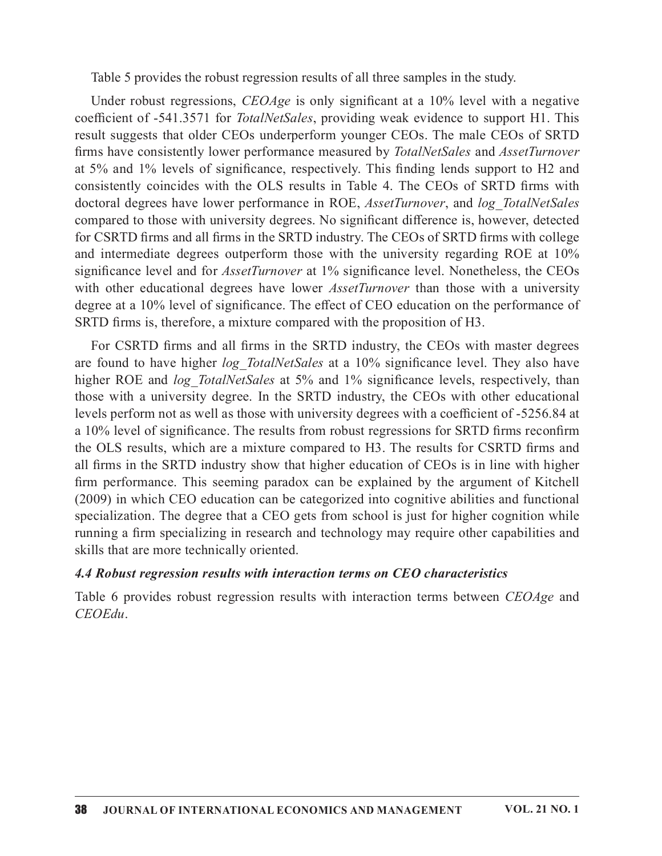Table 5 provides the robust regression results of all three samples in the study.

Under robust regressions,  $CEOAge$  is only significant at a 10% level with a negative coefficient of -541.3571 for *TotalNetSales*, providing weak evidence to support H1. This result suggests that older CEOs underperform younger CEOs. The male CEOs of SRTD firms have consistently lower performance measured by TotalNetSales and AssetTurnover at  $5\%$  and  $1\%$  levels of significance, respectively. This finding lends support to H2 and Table 5 provides the robust regression results of all three samples in the study.<br>Under robust regressions, *CEOAge* is only significant at a 10% level with a negative<br>coefficient of -541.3571 for *TotalNetSales*, providi doctoral degrees have lower performance in ROE, *AssetTurnover*, and *log TotalNetSales* compared to those with university degrees. No significant difference is, however, detected for CSRTD firms and all firms in the SRTD industry. The CEOs of SRTD firms with college and intermediate degrees outperform those with the university regarding ROE at 10% significance level and for *AssetTurnover* at 1% significance level. Nonetheless, the CEOs Table 5 provides the robust regression results of all three samples in the study.<br>
Under robust regressions, *CEOAge* is only significant at a 10% level with a negative<br>
coefficient of -541.3571 for *TotalNetSales*, provi degree at a 10% level of significance. The effect of CEO education on the performance of SRTD firms is, therefore, a mixture compared with the proposition of H3. Under robust regressions, *CEOAge* is only significant at a 10% level with a negative coefficient of -541.3571 for *TotalNetGales*, providing weak evidence to support H1. This result suggests that older CEOs underperform

For CSRTD firms and all firms in the SRTD industry, the CEOs with master degrees higher ROE and *log TotalNetSales* at 5% and 1% significance levels, respectively, than those with a university degree. In the SRTD industry, the CEOs with other educational levels perform not as well as those with university degrees with a coefficient of -5256.84 at a 10% level of significance. The results from robust regressions for SRTD firms reconfirm the OLS results, which are a mixture compared to H3. The results for CSRTD firms and all firms in the SRTD industry show that higher education of CEOs is in line with higher firm performance. This seeming paradox can be explained by the argument of Kitchell (2009) in which CEO education can be categorized into cognitive abilities and functional specialization. The degree that a CEO gets from school is just for higher cognition while running a firm specializing in research and technology may require other capabilities and skills that are more technically oriented.

### 4.4 Robust regression results with interaction terms on CEO characteristics

Table 6 provides robust regression results with interaction terms between CEOAge and  $CEOEdu$ .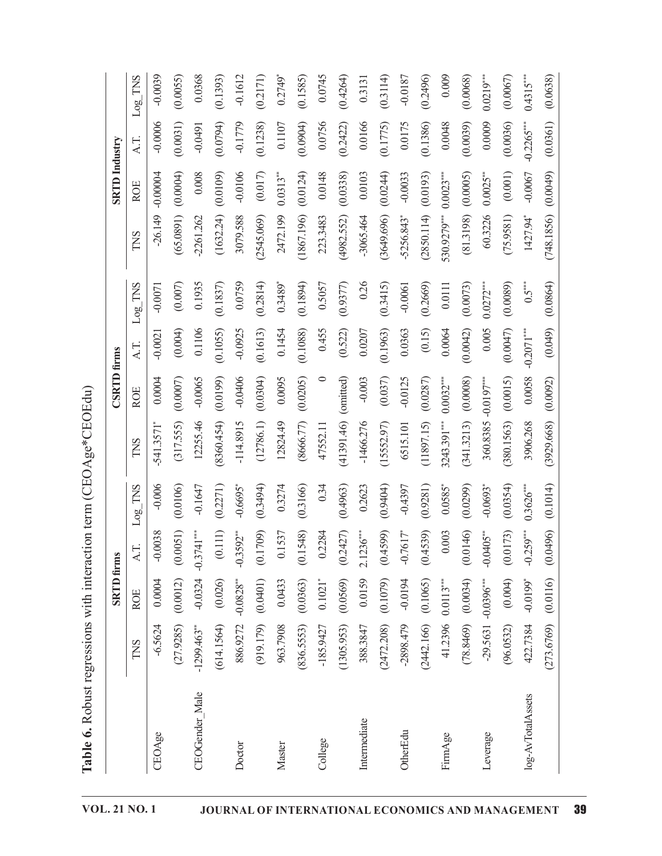| )<br> <br> <br> <br>こしくしくき<br>֧֧֧֧֧֧֧֧֧֛֧֧֧֛֛֖֧֦֧֛֛֚֚֚֚֚֚֚֚֚֚֚֚֚֚֚֚֚֚֚֚֚֚֚֚֝֝֓֝֓֝֟֜֝֓֝֓֝֓֜֜֝֬֜֜֜<br>֧֧֧ׅ֧֧֧֧֚֚֚֚֚֚֚֚֚֚֚֚֚֝֘֩֝֝<br>)<br>・くりく<br>)<br>]) |
|--------------------------------------------------------------------------------------------------------------------------------------------------------|
| l                                                                                                                                                      |
|                                                                                                                                                        |
| $\ddot{\phantom{a}}$                                                                                                                                   |
| うちりょ きりゃすり りそうすきゃ ユキティー じきりゃくこうきょうりきょ<br>)                                                                                                             |
| $\frac{1}{2}$                                                                                                                                          |
|                                                                                                                                                        |
|                                                                                                                                                        |
|                                                                                                                                                        |

|                   |                | <b>SRTD</b> firms       |                        |                        |                          | <b>CSRTD</b> firms |                          |                       |                          | <b>SRTD</b> Industry |              |                       |
|-------------------|----------------|-------------------------|------------------------|------------------------|--------------------------|--------------------|--------------------------|-----------------------|--------------------------|----------------------|--------------|-----------------------|
|                   | TNS            | <b>ROE</b>              | AT.                    | $Log_TNS$              | TNS                      | <b>ROE</b>         | Log <sub>2</sub><br>A.T. | TNS                   | TNS                      | <b>ROE</b>           | AT.          | Log TNS               |
| CEOAge            | $-6.5624$      | 0.0004                  | $-0.0038$              | $-0.006$               | $-541.3571$ <sup>*</sup> | 0.0004             | $-0.0021$                | $-0.0071$             | $-26.149$                | $-0.00004$           | $-0.0006$    | $-0.0039$             |
|                   | (27.9285)      | (0.0012)                | (0.0051)               | (0.0106)               | (317.555)                | (0.0007)           | (0.004)                  | (0.007)               | (65.0891)                | (0.0004)             | (0.0031)     | (0.0055)              |
| CEOGender_Male    | $-1299.463$ ** | $-0.0324$               | $-0.3741***$           | $-0.1647$              | 12255.46                 | $-0.0065$          | 0.1106                   | 0.1935                | $-2261.262$              | 0.008                | $-0.0491$    | 0.0368                |
|                   | (614.1564)     | (0.026)                 | (0.111)                | (0.2271)               | (8360.454)               | (0.0199)           | (0.1055)                 | (0.1837)              | (1632.24)                | (0.0109)             | (0.0794)     | (0.1393)              |
| Doctor            | 886.9272       | $-0.0828$ <sup>**</sup> | $-0.3592$              | $-0.6695$ <sup>*</sup> | $-114.8915$              | $-0.0406$          | $-0.0925$                | 0.0759                | 3079.588                 | $-0.0106$            | $-0.1779$    | $-0.1612$             |
|                   | (919.179)      | (0.0401)                | (0.1709)               | (0.3494)               | (12786.1)                | (0.0304)           | (0.1613)                 | (0.2814)              | (2545.069)               | (0.017)              | (0.1238)     | (0.2171)              |
| Master            | 963.7908       | 0.0433                  | 0.1537                 | 0.3274                 | 12824.49                 | 0.0095             | 0.1454                   | $0.3489$ <sup>*</sup> | 2472.199                 | $0.0313***$          | 0.1107       | $0.2749$ <sup>*</sup> |
|                   | (836.5553)     | (0.0363)                | (0.1548)               | (0.3166)               | (8666.77)                | (0.0205)           | (0.1088)                 | (0.1894)              | (1867.196)               | (0.0124)             | (0.0904)     | (0.1585)              |
| College           | $-185.9427$    | $0.1021$ <sup>*</sup>   | 0.2284                 | 0.34                   | 47552.11                 | $\circ$            | 0.455                    | 0.5057                | 223.3483                 | 0.0148               | 0.0756       | 0.0745                |
|                   | (1305.953)     | (0.0569)                | (0.2427)               | (0.4963)               | (41391.46)               | (omitted)          | (0.522)                  | (0.9377)              | (4982.552)               | (0.0338)             | (0.2422)     | (0.4264)              |
| Intermediate      | 388.3847       | 0.0159                  | $2.1236***$            | 0.2623                 | $-1466.276$              | $-0.003$           | 0.0207                   | 0.26                  | $-3065.464$              | 0.0103               | 0.0166       | 0.3131                |
|                   | (2472.208)     | (0.1079)                | (0.4599)               | (0.9404)               | (15552.97)               | (0.037)            | (0.1963)                 | (0.3415)              | (3649.696)               | (0.0244)             | (0.1775)     | (0.3114)              |
| OtherEdu          | $-2898.479$    | $-0.0194$               | $-0.7617$ <sup>*</sup> | $-0.4397$              | 6515.101                 | $-0.0125$          | 0.0363                   | $-0.0061$             | $-5256.843$ <sup>*</sup> | $-0.0033$            | 0.0175       | $-0.0187$             |
|                   | (2442.166)     | (0.1065)                | (0.4539)               | (0.9281)               | (11897.15)               | (0.0287)           | (0.15)                   | (0.2669)              | (2850.114)               | (0.0193)             | (0.1386)     | (0.2496)              |
| FirmAge           | 41.2396        | $0.0113***$             | 0.003                  | $0.0585$ <sup>*</sup>  | 3243.391***              | $0.0032***$        | 0.0064                   | 0.0111                | 530.9279***              | $0.0023***$          | 0.0048       | 0.009                 |
|                   | (78.8469)      | (0.0034)                | (0.0146)               | (0.0299)               | (341.3213)               | (0.0008)           | (0.0042)                 | (0.0073)              | (81.3198)                | (0.0005)             | (0.0039)     | (0.0068)              |
| Leverage          | $-29.5631$     | $-0.0396***$            | $-0.0405$ **           | $-0.0693$ *            | 360.8385                 | $-0.0197***$       | 0.005                    | $0.0272***$           | 60.3226                  | $0.0025***$          | 0.0009       | $0.0219***$           |
|                   | (96.0532)      | (0.004)                 | (0.0173)               | (0.0354)               | (380.1563)               | (0.0015)           | (0.0047)                 | (0.0089)              | (75.9581)                | (0.001)              | (0.0036)     | (0.0067)              |
| log-AvTotalAssets | 422.7384       | $-0.0199$ <sup>*</sup>  | $-0.259***$            | $0.3626***$            | 3906.268                 | 0.0058             | $-0.2071***$             | $0.5***$              | 1427.94*                 | $-0.0067$            | $-0.2265***$ | $0.4315***$           |
|                   | (273.6769)     | (0.0116)                | (0.0496)               | (0.1014)               | (3929.668)               | (0.0092)           | (0.049)                  | (0.0864)              | (748.1856)               | (0.0049)             | (0.0361)     | (0.0638)              |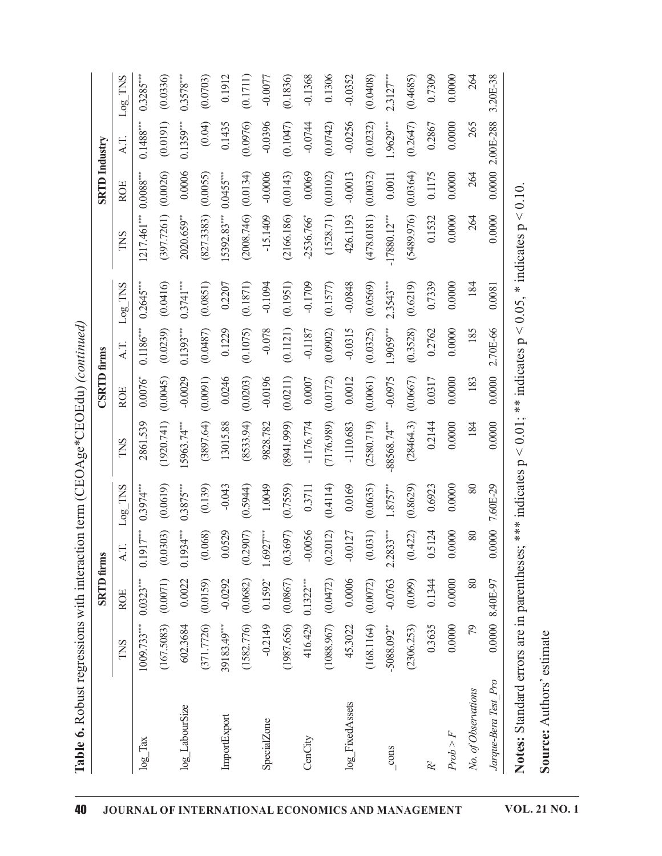Table 6. Robust regressions with interaction term (CEOAge\*CEOEdu) (continued)

|                      |                           | <b>SRTD</b> firms     |             |                   |                | <b>CSRTD</b> firms |                         |                            |                          | <b>SRTD</b> Industry |             |             |
|----------------------|---------------------------|-----------------------|-------------|-------------------|----------------|--------------------|-------------------------|----------------------------|--------------------------|----------------------|-------------|-------------|
|                      | TNS                       | <b>ROE</b>            | A.T.        | $Log_TNS$         | TNS            | <b>ROE</b>         | AT.                     | TNS<br>Log <sub>2</sub>    | TNS                      | <b>ROE</b>           | AT.         | $Log$ TNS   |
| $log_{1}x$           | $1009.733***$             | $0.0323***$           | $0.1917***$ | $0.3974***$       | 2861.539       | $0.0076^{*}$       | $0.1186^{\ast\ast\ast}$ | $0.2645***$                | 1217.461*** 0.0088***    |                      | $0.1488***$ | $0.3285***$ |
|                      | (167.5083)                | (0.0071)              | (0.0303)    | (0.0619)          | (1920.741)     | (0.0045)           | (0.0239)                | (0.0416)                   | (397.7261)               | (0.0026)             | (0.0191)    | (0.0336)    |
| $log$ LabourSize     | 602.3684                  | 0.0022                | $0.1934***$ | $0.3875***$       | 15963.74***    | $-0.0029$          | $0.1393***$             | $0.3741***$                | 2020.659**               | 0.0006               | $0.1359***$ | $0.3578***$ |
|                      | (371.7726)                | (0.0159)              | (0.068)     | (0.139)           | (3897.64)      | (0.0091)           | (0.0487)                | (0.0851)                   | (827.3383)               | (0.0055)             | (0.04)      | (0.0703)    |
| ImportExport         | 39183.49***               | $-0.0292$             | 0.0529      | $-0.043$          | 13015.88       | 0.0246             | 0.1229                  | 0.2207                     | 15392.83***              | $0.0455***$          | 0.1435      | 0.1912      |
|                      | (1582.776)                | (0.0682)              | (0.2907)    | (0.5944)          | (8533.94)      | (0.0203)           | (0.1075)                | 871)<br>$\overline{0}$ .   | (2008.746)               | (0.0134)             | (0.0976)    | (0.1711)    |
| SpecialZone          | $-0.2149$                 | $0.1592$ <sup>*</sup> | $1.6927***$ | 1.0049            | 9828.782       | $-0.0196$          | $-0.078$                | $-0.1094$                  | $-15.1409$               | $-0.0006$            | $-0.0396$   | $-0.0077$   |
|                      | (1987.656)                | (0.0867)              | (0.3697)    | (0.7559)          | (8941.999)     | (0.0211)           | (0.1121)                | 951)<br>$\overline{6}$     | (2166.186)               | (0.0143)             | (0.1047)    | (0.1836)    |
| CenCity              | 416.429                   | $0.1322***$           | $-0.0056$   | 0.3711            | $-1176.774$    | $0.0007$           | $-0.1187$               | 1709<br>$\dot{\mathsf{q}}$ | $-2536.766$ <sup>*</sup> | 0.0069               | $-0.0744$   | $-0.1368$   |
|                      | (1088.967)                | (0.0472)              | (0.2012)    | (0.4114)          | (7176.989)     | (0.0172)           | (0.0902)                | 577)<br>$\overline{0}$ .   | (1528.71)                | (0.0102)             | (0.0742)    | 0.1306      |
| log_FixedAssets      | 45.3022                   | 0.0006                | $-0.0127$   | 0.0169            | $-1110.683$    | 0.0012             | $-0.0315$               | $-0.0848$                  | 426.1193                 | $-0.0013$            | $-0.0256$   | $-0.0352$   |
|                      | (168.1164)                | (0.0072)              | (0.031)     | (0.0635)          | (2580.719)     | (0.0061)           | (0.0325)                | (0.0569)                   | (478.0181)               | (0.0032)             | (0.0232)    | (0.0408)    |
| cons                 | $-5088.092$ <sup>**</sup> | $-0.0763$             | $2.2833***$ | $1.8757***$       | $-88568.74***$ | $-0.0975$          | $1.9059***$             | $2.3543***$                | $-17880.12***$           | 0.0011               | 1.9629***   | $2.3127***$ |
|                      | (2306.253)                | (0.099)               | (0.422)     | (0.8629)          | (28464.3)      | (0.0667)           | (0.3528)                | (0.6219)                   | (5489.976)               | (0.0364)             | (0.2647)    | (0.4685)    |
|                      | 0.3635                    | 0.1344                | 0.5124      | 0.6923            | 0.2144         | 0.0317             | 0.2762                  | 0.7339                     | 0.1532                   | 0.1175               | 0.2867      | 0.7309      |
| Prob > F             | 0.0000                    | 0.0000                | 0.0000      | 0.0000            | 0.0000         | 0.0000             | 0.0000                  | 0.0000                     | 0.0000                   | 0.0000               | 0.0000      | 0.0000      |
| No. of Observations  | 79                        | $\rm 80$              | 80          | $80\,$            | 184            | 183                | 185                     | 184                        | 264                      | 264                  | 265         | 264         |
| Jarque-Bera Test Pro |                           | $0.0000$ 8.40E-97     |             | $0.0000$ 7.60E-29 | 0.0000         | 0.0000             | 2.70E-66                | 0.0081                     | 0.0000                   | $0.00002.00E-288$    |             | 3.20E-38    |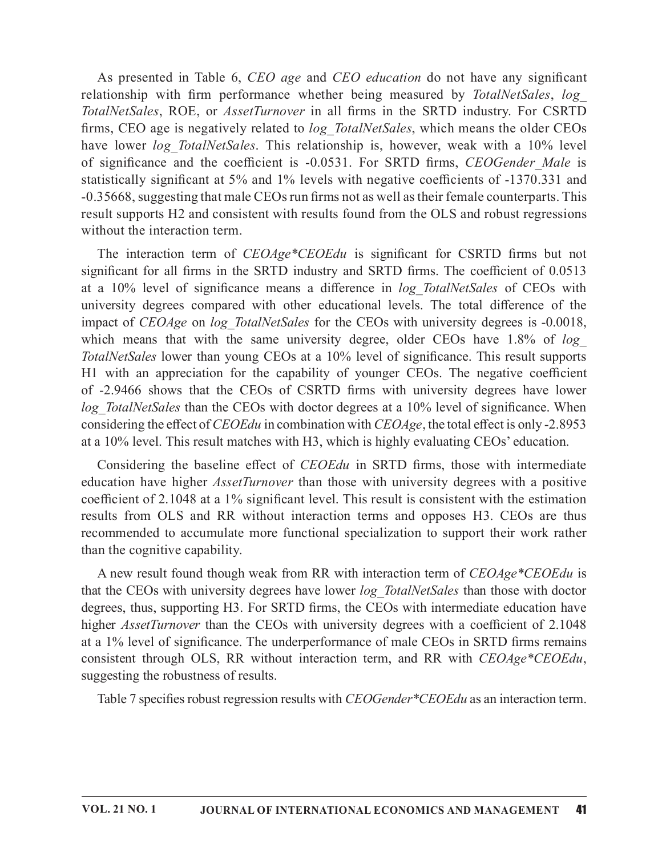As presented in Table 6, CEO age and CEO education do not have any significant As presented in Table 6, *CEO age* and *CEO education* do not have any significant relationship with firm performance whether being measured by *TotalNetSales*, *log\_TotalNetSales*, ROE, or *AssetTurnover* in all firms in As presented in Table 6, *CEO age* and *CEO education* do not have any significant relationship with firm performance whether being measured by *TotalNetSales*, *log\_TotalNetSales*, ROE, or *AssetTurnover* in all firms in firms, CEO age is negatively related to *log TotalNetSales*, which means the older CEOs As presented in Table 6, *CEO age* and *CEO education* do not have any significant relationship with firm performance whether being measured by *TotalNetSales*, *logTotalNetSales*, *log*<sub>*C*</sub> *TotalNetSales*, *ROE*, or As presented in Table 6, *CEO age* and *CEO education* do not have any significant relationship with firm performance whether being measured by *TotalNetSales*, *logTotalNetSales*, ROE, or *AssetTurnover* in all firms in statistically significant at 5% and 1% levels with negative coefficients of -1370.331 and -0.35668, suggesting that male CEOs run firms not as well as their female counterparts. This result supports H2 and consistent with results found from the OLS and robust regressions without the interaction term. As presented in Table 6, *CEO age* and *CEO education* do not have any significant ationship with firm performance whether being measured by *TotalNetSdes*,  $log_{10}$  and  $\kappa_{10}^{2}$  and  $\kappa_{10}^{2}$  and  $\kappa_{10}^{2}$  and As presented in Table 6, *CEO age* and *CEO education* do not have any significant relationship with firm performance whether being measured by *TotalNetSales*, *log\_TotalNetSales*, ROE, or *Assefluenover* in all firms in

at a 10% level of significance means a difference in log TotalNetSales of CEOs with university degrees compared with other educational levels. The total difference of the impact of CEOAge on log TotalNetSales for the CEOs with university degrees is -0.0018, which means that with the same university degree, older CEOs have  $1.8\%$  of  $log$ TotalNetSales lower than young CEOs at a 10% level of significance. This result supports H1 with an appreciation for the capability of younger CEOs. The negative coefficient firms, CEO age is negatively related to log\_TotalNet/Sales, which means the older CEOs<br>how lower log\_TotalNet/Sales. This relationship is, however, weak with a 10% level<br>of significance and the coefficient is -0.0531. For log TotalNetSales than the CEOs with doctor degrees at a 10% level of significance. When considering the effect of  $CEOEdu$  in combination with  $CEOAge$ , the total effect is only -2.8953 at a 10% level. This result matches with H3, which is highly evaluating CEOs' education. 35006, suggesting that mata CDS the interestion terms of a swell as their terms connerparts. This unit supports H2 and consistent with results found from the OLS and robust regressions thout the interaction term.<br>The inte result suppors 112 and consistent with results jound from the OLS and robust regressions<br>without the interaction term of CEOAge\*CEOEdu is significant for CSRTD firms but not<br>significant for all firms in the SRTD industry a significant for all firms in the SRTD industry and SRTD firms. The coefficient of 0.0513<br>at a 10% level of significance means a difference in log-*TotalNetGales* of CEOs with<br>university degrees compared with other educati

coefficient of  $2.1048$  at a 1% significant level. This result is consistent with the estimation results from OLS and RR without interaction terms and opposes H3. CEOs are thus than the cognitive capability.

A new result found though weak from RR with interaction term of *CEOAge* \**CEOEdu* is that the CEOs with university degrees have lower log TotalNetSales than those with doctor degrees, thus, supporting H3. For SRTD firms, the CEOs with intermediate education have higher *AssetTurnover* than the CEOs with university degrees with a coefficient of 2.1048 at a 1% level of significance. The underperformance of male CEOs in SRTD firms remains consistent through OLS, RR without interaction term, and RR with CEOAge\*CEOEdu, suggesting the robustness of results.

Table 7 specifies robust regression results with *CEOGender*\**CEOEdu* as an interaction term.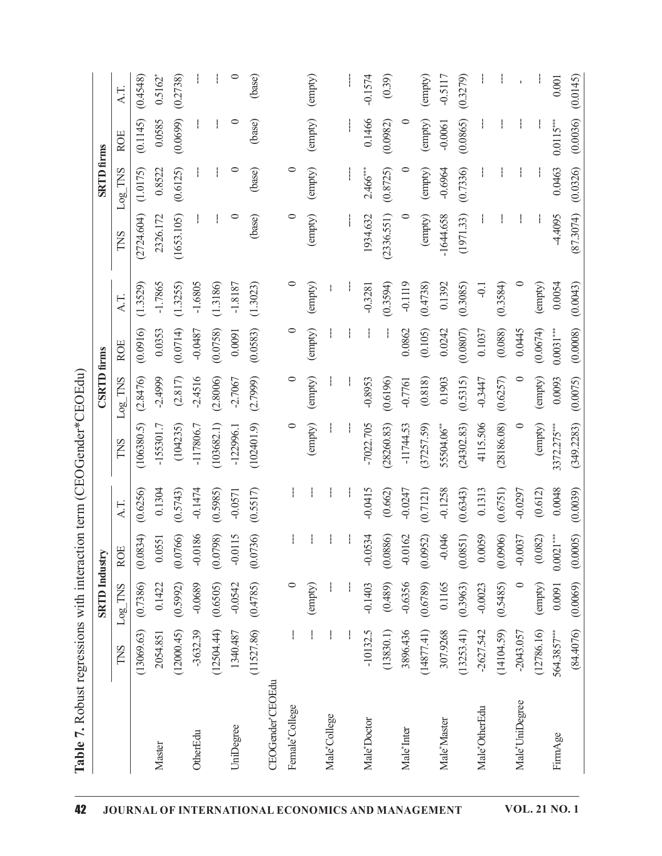|                  |             | <b>SRTD</b> Industry |             | Table 7. Robust regressions with interaction term (CEOGender*CEOEdu) |               | <b>CSRTD</b> firms |             |           |             | <b>SRTD</b> firms |             |           |
|------------------|-------------|----------------------|-------------|----------------------------------------------------------------------|---------------|--------------------|-------------|-----------|-------------|-------------------|-------------|-----------|
|                  | TNS         | $Log$ TNS            | <b>ROE</b>  | A.T.                                                                 | TNS           | $Log$ TNS          | <b>ROE</b>  | A.T.      | TNS         | $Log$ TNS         | <b>ROE</b>  | A.T.      |
|                  | (13069.63)  | (0.7386)             | (0.0834)    | (0.6256)                                                             | (106380.5)    | (2.8476)           | (0.0916)    | (1.3529)  | (2724.604)  | (1.0175)          | (0.1145)    | (0.4548)  |
| Master           | 2054.851    | 0.1422               | 0.0551      | 0.1304                                                               | $-155301.7$   | $-2.4999$          | 0.0353      | $-1.7865$ | 2326.172    | 0.8522            | 0.0585      | $0.5162*$ |
|                  | (12000.45)  | (0.5992)             | (0.0766)    | (0.5743)                                                             | (104235)      | (2.817)            | (0.0714)    | (1.3255)  | (1653.105)  | (0.6125)          | (0.0699)    | (0.2738)  |
| OtherEdu         | $-3632.39$  | $-0.0689$            | $-0.0186$   | $-0.1474$                                                            | $-117806.7$   | $-2.4516$          | $-0.0487$   | $-1.6805$ |             |                   |             |           |
|                  | (12504.44)  | (0.6505)             | (0.0798)    | (0.5985)                                                             | (103682.1)    | (2.8006)           | (0.0758)    | (1.3186)  |             |                   |             | Ť.        |
| UniDegree        | 1340.487    | $-0.0542$            | $-0.0115$   | $-0.0571$                                                            | $-122996.1$   | $-2.7067$          | 0.0091      | $-1.8187$ | $\circ$     | $\circ$           | $\circ$     | $\circ$   |
|                  | (11527.86)  | (0.4785)             | (0.0736)    | (0.5517)                                                             | (102401.9)    | (2.7999)           | (0.0583)    | (1.3023)  | (base)      | (base)            | (base)      | (base)    |
| CEOGender*CEOEdu |             |                      |             |                                                                      |               |                    |             |           |             |                   |             |           |
| Female*College   |             | $\circ$              |             |                                                                      | $\circ$       | $\circ$            | $\circ$     | $\circ$   | $\circ$     | $\circ$           |             |           |
|                  |             | (empty)              |             |                                                                      | (empty)       | (empty)            | (empty)     | (empty)   | (empty)     | (empty)           | (empty)     | (empty)   |
| Male*College     |             |                      |             |                                                                      |               |                    |             |           |             |                   |             |           |
|                  |             |                      |             |                                                                      |               |                    |             |           |             |                   |             |           |
| Male*Doctor      | $-10132.5$  | $-0.1403$            | $-0.0534$   | $-0.0415$                                                            | $-7022.705$   | $-0.8953$          |             | $-0.3281$ | 1934.632    | $2.466***$        | 0.1466      | $-0.1574$ |
|                  | (13830.1)   | (0.489)              | (0.0886)    | (0.662)                                                              | (28260.83)    | (0.6196)           |             | (0.3594)  | (2336.551)  | (0.8725)          | (0.0982)    | (0.39)    |
| Male*Inter       | 3896.436    | $-0.6356$            | $-0.0162$   | $-0.0247$                                                            | $-11744.53$   | $-0.7761$          | 0.0862      | $-0.1119$ | $\circ$     | $\circ$           | $\circ$     |           |
|                  | (14877.41)  | (0.6789)             | (0.0952)    | (0.7121)                                                             | (37257.59)    | (0.818)            | (0.105)     | (0.4738)  | (empty)     | (empty)           | (empty)     | (empty)   |
| Male*Master      | 307.9268    | 0.1165               | $-0.046$    | $-0.1258$                                                            | 55504.06**    | 0.1903             | 0.0242      | 0.1392    | $-1644.658$ | $-0.6964$         | $-0.0061$   | $-0.5117$ |
|                  | (13253.41)  | (0.3963)             | (0.0851)    | (0.6343)                                                             | (24302.83)    | (0.5315)           | (0.0807)    | (0.3085)  | (1971.33)   | (0.7336)          | (0.0865)    | (0.3279)  |
| Male*OtherEdu    | $-2627.542$ | $-0.0023$            | 0.0059      | 0.1313                                                               | 4115.506      | $-0.3447$          | 0.1037      | $-6.1$    |             |                   |             |           |
|                  | (14104.59)  | (0.5485)             | (0.0906)    | (0.6751)                                                             | (28186.08)    | (0.6257)           | (0.088)     | (0.3584)  |             |                   |             |           |
| Male*UniDegree   | $-2043.057$ | $\circ$              | $-0.0037$   | $-0.0297$                                                            |               | $\circ$            | 0.0445      | $\circ$   |             |                   |             |           |
|                  | (12786.16)  | (empty)              | (0.082)     | (0.612)                                                              | (empty)       | (empty)            | (0.0674)    | (empty)   |             |                   |             |           |
| FirmAge          | 564.3857**  | 0.0091               | $0.0021***$ | 0.0048                                                               | $3372.275***$ | 0.0093             | $0.0031***$ | 0.0054    | $-4.4095$   | 0.0463            | $0.0115***$ | 0.001     |
|                  | (84.4076)   | (0.0069)             | (0.0005)    | (0.0039)                                                             | (349.2283)    | (0.0075)           | (0.0008)    | (0.0043)  | (87.3074)   | (0.0326)          | (0.0036)    | (0.0145)  |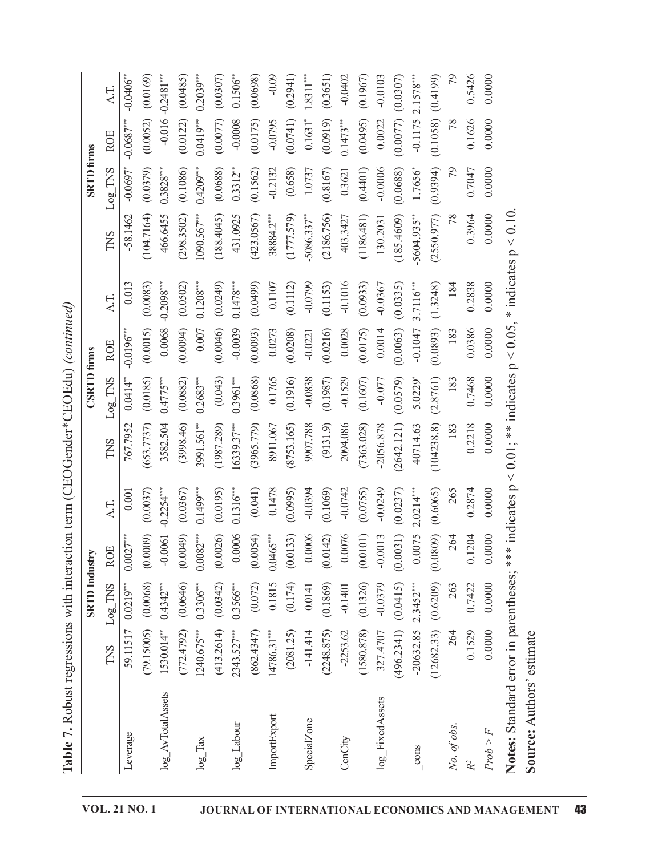|                                   |               | <b>SRTD</b> Industry |             |              |               | <b>CSRTD</b> firms |               |                |                         | <b>SRTD</b> firms      |                       |                        |
|-----------------------------------|---------------|----------------------|-------------|--------------|---------------|--------------------|---------------|----------------|-------------------------|------------------------|-----------------------|------------------------|
|                                   | TNS           | Log TNS              | <b>ROE</b>  | AT.          | TNS           | Log TNS            | <b>ROE</b>    | $\lambda$ .T   | TNS                     | Log TNS                | <b>ROE</b>            | AT.                    |
| Leverage                          | 59.11517      | $0.0219***$          | $0.0027***$ | 0.001        | 767.7952      | $0.0414**$         | $-0.0196$ *** | 0.013          | $-58.1462$              | $-0.0697$ <sup>*</sup> | $-0.0687***$          | $-0.0406$              |
|                                   | (79.15005)    | (0.0068)             | (0.0009)    | (0.0037)     | (653.7737)    | (0.0185)           | (0.0015)      | (0.0083)       | (104.7164)              | (0.0379)               | (0.0052)              | (0.0169)               |
| log_AvTotalAssets                 | 1530.014**    | $0.4342***$          | $-0.0061$   | $-0.2254***$ | 3582.504      | $0.4775***$        | 0.0068        | $-0.2098***$   | 466.6455                | $0.3828***$            | $-0.016$              | $-0.2481***$           |
|                                   | (772.4792)    | (0.0646)             | (0.0049)    | (0.0367)     | (398.46)      | (0.0882)           | (0.0094)      | (0.0502)       | (298.3502)              | (0.1086)               | (0.0122)              | (0.0485)               |
| $log_2$ Tax                       | 1240.675***   | $0.3306***$          | $0.0082***$ | $0.1499***$  | 3991.561**    | $0.2683***$        | 0.007         | $0.1208***$    | $1090.567***$           | $0.4209***$            | $0.0419***$           | $0.2039**$             |
|                                   | (413.2614)    | (0.0342)             | (0.0026)    | (0.0195)     | (1987.289)    | (0.043)            | (0.0046)      | (0.0249)       | (188.4045)              | (0.0688)               | (0.0077)              | (0.0307)               |
| $log$ Labour                      | $2343.527***$ | $0.3566***$          | 0.0006      | $0.1316***$  | $16339.37***$ | $0.3961***$        | $-0.0039$     | $0.1478***$    | 431.0925                | $0.3312**$             | $-0.0008$             | $0.1506$ <sup>**</sup> |
|                                   | (862.4347)    | (0.072)              | (0.0054)    | (0.041)      | (3965.779)    | (0.0868)           | (0.0093)      | (0.0499)       | (423.0567)              | (0.1562)               | (0.0175)              | (0.0698)               |
| ImportExport                      | 14786.31***   | 0.1815               | $0.0465***$ | 0.1478       | 8911.067      | 0.1765             | 0.0273        | 0.1107         | 38884.2***              | $-0.2132$              | $-0.0795$             | $-0.09$                |
|                                   | (2081.25)     | (0.174)              | (0.0133)    | (0.0995)     | (8753.165)    | (0.1916)           | (0.0208)      | (0.1112)       | (1777.579)              | (0.658)                | (0.0741)              | (0.2941)               |
| SpecialZone                       | $-141.414$    | 0.0141               | 0.0006      | $-0.0394$    | 9907.788      | $-0.0838$          | $-0.0221$     | $-0.0799$      | $5086.337$ <sup>*</sup> | 1.0737                 | $0.1631$ <sup>*</sup> | $1.8311***$            |
|                                   | (2248.875)    | (0.1869)             | (0.0142)    | (0.1069)     | (9131.9)      | (0.1987)           | (0.0216)      | (53)<br>(0.11) | (2186.756)              | (0.8167)               | (0.0919)              | (0.3651)               |
| CenCity                           | $-2253.62$    | $-0.1401$            | 0.0076      | $-0.0742$    | 2094.086      | $-0.1529$          | 0.0028        | $-0.1016$      | 403.3427                | 0.3621                 | $0.1473***$           | $-0.0402$              |
|                                   | (1580.878)    | (0.1326)             | (0.0101)    | (0.0755)     | (7363.028)    | (0.1607)           | (0.0175)      | (0.0933)       | (1186.481)              | (0.4401)               | (0.0495)              | (0.1967)               |
| log_FixedAssets                   | 327.4707      | $-0.0379$            | $-0.0013$   | $-0.0249$    | $-2056.878$   | $-0.077$           | 0.0014        | $-0.0367$      | 130.2031                | $-0.0006$              | 0.0022                | $-0.0103$              |
|                                   | (496.2341)    | (0.0415)             | (0.0031)    | (0.0237)     | (2642.121)    | (0.0579)           | (0.0063)      | (0.0335)       | (185.4609)              | (0.0688)               | (0.0077)              | (0.0307)               |
| $\frac{\text{cons}}{\text{cons}}$ | $-20632.85$   | $2.3452***$          | 0.0075      | $2.0214***$  | 40714.63      | 5.0229*            | $-0.1047$     | $3.7116***$    | 5604.935**              | 1.7656*                | $-0.1175$             | $2.1578***$            |
|                                   | (12682.33)    | (0.6209)             | (0.0809)    | (0.6065)     | (104238.8)    | (2.8761)           | (0.0893)      | (1.3248)       | (2550.977)              | (0.9394)               | (0.1058)              | (0.4199)               |
| No. of obs.                       | 264           | 263                  | 264         | 265          | 183           | 183                | 183           | 184            | 78                      | 79                     | 78                    | 79                     |
|                                   | 0.1529        | 0.7422               | 0.1204      | 0.2874       | 0.2218        | 0.7468             | 0.0386        | 0.2838         | 0.3964                  | 0.7047                 | 0.1626                | 0.5426                 |
| Prob > F                          | 0.0000        | 0.0000               | 0.0000      | 0.0000       | 0.0000        | 0.0000             | 0.0000        | 0.0000         | 0.0000                  | 0.0000                 | 0.0000                | 0.0000                 |

Table 7. Robust regressions with interaction term (CEOGender\*CEOEdu) (continued)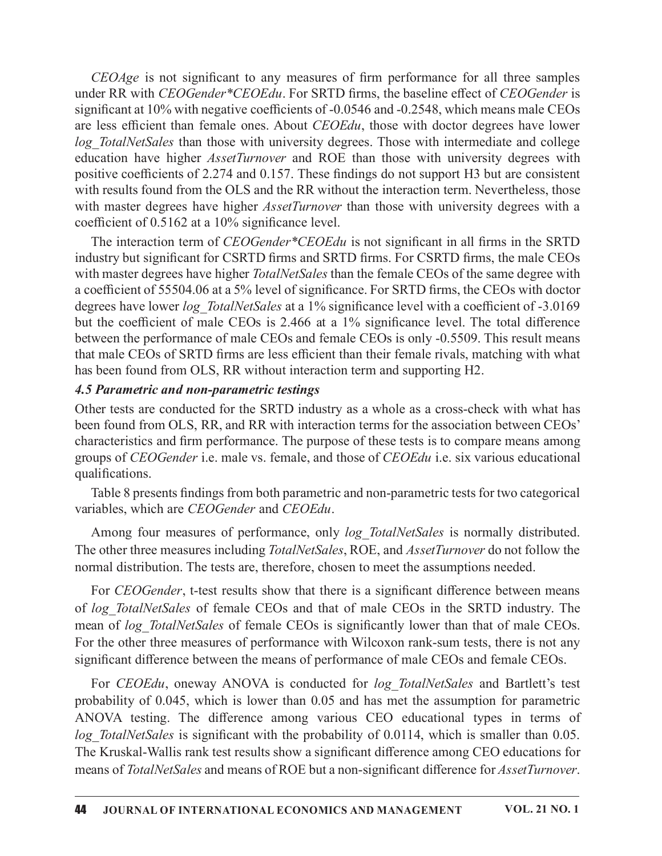$CEOAge$  is not significant to any measures of firm performance for all three samples<br>der RR with  $CEOGender*CEOEdu$ . For SRTD firms, the baseline effect of  $CEOGender$  is<br>nificant at 10% with negative coefficients of -0.0546 and -0.254 under RR with CEOGender\*CEOEdu. For SRTD firms, the baseline effect of CEOGender is significant at  $10\%$  with negative coefficients of  $-0.0546$  and  $-0.2548$ , which means male CEOs are less efficient than female ones. About CEOEdu, those with doctor degrees have lower log TotalNetSales than those with university degrees. Those with intermediate and college CEOAge is not significant to any measures of firm performance for all three samples<br>under RR with CEOGender\*CEOEdu. For SRTD firms, the baseline effect of CEOGender is<br>significant at 10% with negative coefficients of -0.0 positive coefficients of 2.274 and 0.157. These findings do not support H3 but are consistent with results found from the OLS and the RR without the interaction term. Nevertheless, those *CEOAge* is not significant to any measures of firm performance for all three samples<br>under RR with *CEOGender*<sup>\*</sup>*CEOEdu*. For SRTD firms, the baseline effect of *CEOGender* is<br>significant at 10% with negative coefficien coefficient of  $0.5162$  at a 10% significance level.

The interaction term of *CEOGender* \**CEOEdu* is not significant in all firms in the SRTD industry but significant for CSRTD firms and SRTD firms. For CSRTD firms, the male CEOs with master degrees have higher *TotalNetSales* than the female CEOs of the same degree with a coefficient of 55504.06 at a 5% level of significance. For SRTD firms, the CEOs with doctor degrees have lower *log TotalNetSales* at a 1% significance level with a coefficient of -3.0169 but the coefficient of male CEOs is 2.466 at a 1% significance level. The total difference between the performance of male CEOs and female CEOs is only -0.5509. This result means that male CEOs of SRTD firms are less efficient than their female rivals, matching with what has been found from OLS, RR without interaction term and supporting H2. th master degrees have higher *TotalNetSales* than the female CEOs of the same degree with decordicient of 55504.06 at a 5% level of significance. For SRTD firms, the CEOs with doctor<br>grees have lower  $log$  *TotalNetSales*

### 4.5 Parametric and non-parametric testings

Other tests are conducted for the SRTD industry as a whole as a cross-check with what has been found from OLS, RR, and RR with interaction terms for the association between CEOs' characteristics and firm performance. The purpose of these tests is to compare means among groups of CEOGender i.e. male vs. female, and those of CEOEdu i.e. six various educational qualifications.

Table 8 presents findings from both parametric and non-parametric tests for two categorical variables, which are CEOGender and CEOEdu.

The other three measures including *TotalNetSales*, ROE, and *AssetTurnover* do not follow the normal distribution. The tests are, therefore, chosen to meet the assumptions needed.

For *CEOGender*, t-test results show that there is a significant difference between means of log TotalNetSales of female CEOs and that of male CEOs in the SRTD industry. The mean of log TotalNetSales of female CEOs is significantly lower than that of male CEOs. For the other three measures of performance with Wilcoxon rank-sum tests, there is not any significant difference between the means of performance of male CEOs and female CEOs.

For CEOEdu, oneway ANOVA is conducted for log TotalNetSales and Bartlett's test probability of 0.045, which is lower than 0.05 and has met the assumption for parametric ANOVA testing. The difference among various CEO educational types in terms of log TotalNetSales is significant with the probability of 0.0114, which is smaller than 0.05. The Kruskal-Wallis rank test results show a significant difference among CEO educations for means of TotalNetSales and means of ROE but a non-significant difference for AssetTurnover.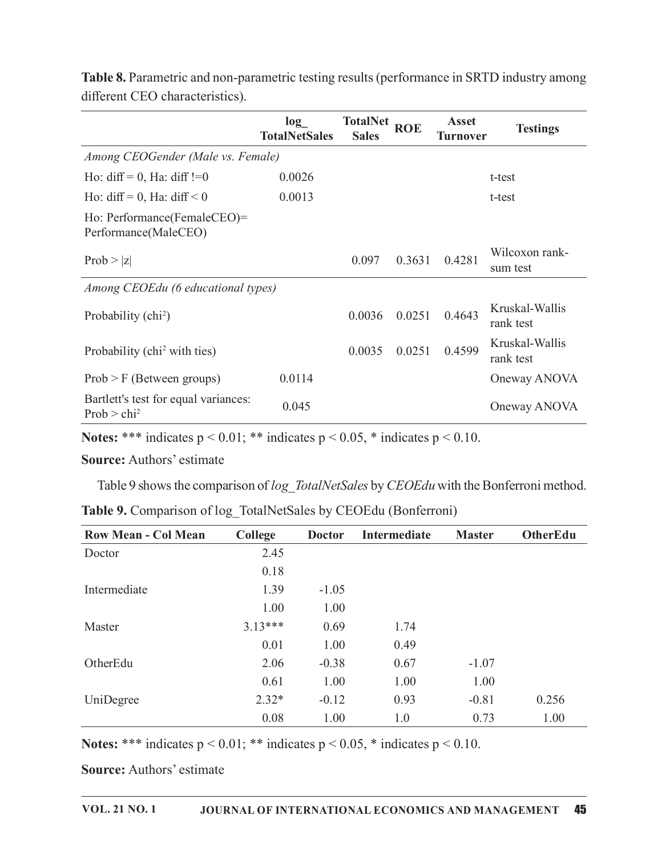|                                                                                         |              |                             |                                 |              |                 | <b>Table 8.</b> Parametric and non-parametric testing results (performance in SRTD industry among |
|-----------------------------------------------------------------------------------------|--------------|-----------------------------|---------------------------------|--------------|-----------------|---------------------------------------------------------------------------------------------------|
| different CEO characteristics).                                                         |              | log<br><b>TotalNetSales</b> | <b>TotalNet</b><br><b>Sales</b> | <b>ROE</b>   | <b>Asset</b>    | <b>Testings</b>                                                                                   |
| Among CEOGender (Male vs. Female)                                                       |              |                             |                                 |              | <b>Turnover</b> |                                                                                                   |
| Ho: $diff = 0$ , Ha: $diff := 0$                                                        |              | 0.0026                      |                                 |              |                 | t-test                                                                                            |
| Ho: diff = 0, Ha: diff < 0                                                              |              | 0.0013                      |                                 |              |                 | t-test                                                                                            |
| Ho: Performance(FemaleCEO)=<br>Performance(MaleCEO)                                     |              |                             |                                 |              |                 |                                                                                                   |
| Prob >  z                                                                               |              |                             | 0.097                           | 0.3631       | 0.4281          | Wilcoxon rank-<br>sum test                                                                        |
| Among CEOEdu (6 educational types)                                                      |              |                             |                                 |              |                 |                                                                                                   |
| Probability (chi <sup>2</sup> )                                                         |              |                             | 0.0036                          | 0.0251       | 0.4643          | Kruskal-Wallis<br>rank test                                                                       |
| Probability (chi <sup>2</sup> with ties)                                                |              |                             | 0.0035                          | 0.0251       | 0.4599          | Kruskal-Wallis<br>rank test                                                                       |
| $Prob > F$ (Between groups)                                                             |              | 0.0114                      |                                 |              |                 | Oneway ANOVA                                                                                      |
| Bartlett's test for equal variances:<br>Prob > chi <sup>2</sup>                         |              | 0.045                       |                                 |              |                 | Oneway ANOVA                                                                                      |
| Notes: *** indicates $p < 0.01$ ; ** indicates $p < 0.05$ , * indicates $p < 0.10$ .    |              |                             |                                 |              |                 |                                                                                                   |
| <b>Source: Authors' estimate</b>                                                        |              |                             |                                 |              |                 |                                                                                                   |
| Table 9 shows the comparison of log TotalNetSales by CEOEdu with the Bonferroni method. |              |                             |                                 |              |                 |                                                                                                   |
|                                                                                         |              |                             |                                 |              |                 |                                                                                                   |
| Table 9. Comparison of log TotalNetSales by CEOEdu (Bonferroni)                         |              |                             |                                 |              |                 |                                                                                                   |
| <b>Row Mean - Col Mean</b>                                                              | College      | <b>Doctor</b>               |                                 | Intermediate | <b>Master</b>   | OtherEdu                                                                                          |
| Doctor                                                                                  | 2.45<br>0.18 |                             |                                 |              |                 |                                                                                                   |
| Intermediate                                                                            | 1.39         | $-1.05$                     |                                 |              |                 |                                                                                                   |
|                                                                                         | 1.00         | 1.00                        |                                 |              |                 |                                                                                                   |
|                                                                                         |              |                             |                                 |              |                 |                                                                                                   |

| Probability (chi <sup>2</sup> with ties)                                                |           |               | 0.0035 | 0.0251       | 0.4599        | Kruskal-Wallis<br>rank test |
|-----------------------------------------------------------------------------------------|-----------|---------------|--------|--------------|---------------|-----------------------------|
| $Prob > F$ (Between groups)                                                             |           | 0.0114        |        |              |               | Oneway ANOVA                |
| Bartlett's test for equal variances:<br>$Prob > chi^2$                                  |           | 0.045         |        |              |               | Oneway ANOVA                |
| Notes: *** indicates $p < 0.01$ ; ** indicates $p < 0.05$ , * indicates $p < 0.10$ .    |           |               |        |              |               |                             |
| <b>Source: Authors' estimate</b>                                                        |           |               |        |              |               |                             |
| Table 9 shows the comparison of log_TotalNetSales by CEOEdu with the Bonferroni method. |           |               |        |              |               |                             |
| Table 9. Comparison of log_TotalNetSales by CEOEdu (Bonferroni)                         |           |               |        |              |               |                             |
| <b>Row Mean - Col Mean</b>                                                              | College   | <b>Doctor</b> |        | Intermediate | <b>Master</b> | OtherEdu                    |
| Doctor                                                                                  | 2.45      |               |        |              |               |                             |
|                                                                                         | 0.18      |               |        |              |               |                             |
| Intermediate                                                                            | 1.39      | $-1.05$       |        |              |               |                             |
|                                                                                         | 1.00      | 1.00          |        |              |               |                             |
| Master                                                                                  | $3.13***$ | 0.69          |        | 1.74         |               |                             |
|                                                                                         | 0.01      | 1.00          |        | 0.49         |               |                             |
| OtherEdu                                                                                | 2.06      | $-0.38$       |        | 0.67         | $-1.07$       |                             |
|                                                                                         | 0.61      | 1.00          |        | 1.00         | 1.00          |                             |
| UniDegree                                                                               | $2.32*$   | $-0.12$       |        | 0.93         | $-0.81$       | 0.256                       |
|                                                                                         | 0.08      | 1.00          |        | 1.0          | 0.73          | 1.00                        |
| Notes: *** indicates $p < 0.01$ ; ** indicates $p < 0.05$ , * indicates $p < 0.10$ .    |           |               |        |              |               |                             |
| <b>Source: Authors' estimate</b>                                                        |           |               |        |              |               |                             |
|                                                                                         |           |               |        |              |               |                             |

| Table 9. Comparison of log_TotalNetSales by CEOEdu (Bonferroni) |  |
|-----------------------------------------------------------------|--|
|                                                                 |  |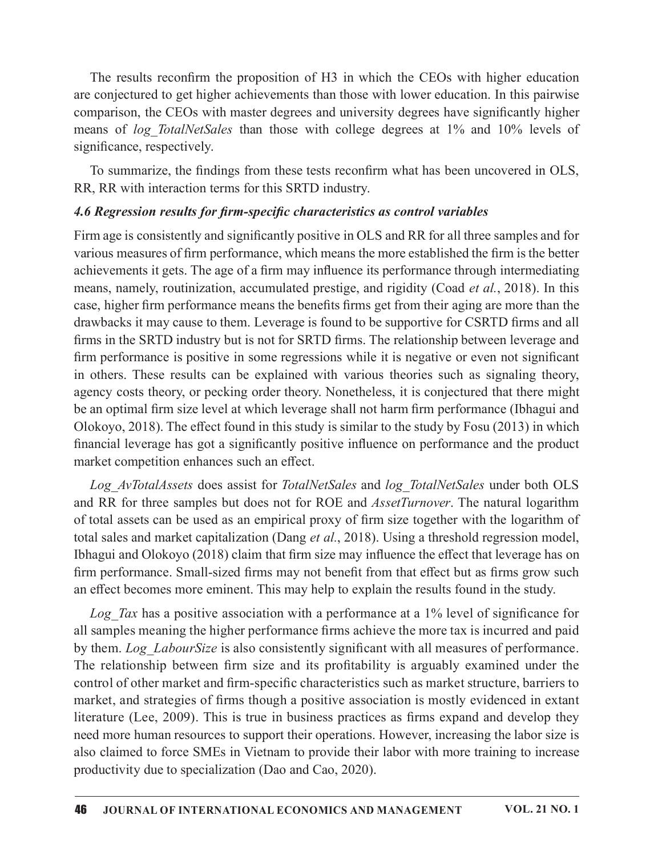The results reconfirm the proposition of H3 in which the CEOs with higher education are conjectured to get higher achievements than those with lower education. In this pairwise comparison, the CEOs with master degrees and university degrees have significantly higher The results reconfirm the proposition of H3 in which the CEOs with higher education<br>are conjectured to get higher achievements than those with lower education. In this pairwise<br>comparison, the CEOs with master degrees and significance, respectively.

To summarize, the findings from these tests reconfirm what has been uncovered in OLS, RR, RR with interaction terms for this SRTD industry.

### 4.6 Regression results for firm-specific characteristics as control variables

Firm age is consistently and significantly positive in OLS and RR for all three samples and for various measures of firm performance, which means the more established the firm is the better achievements it gets. The age of a firm may influence its performance through intermediating means, namely, routinization, accumulated prestige, and rigidity (Coad et al., 2018). In this case, higher firm performance means the benefits firms get from their aging are more than the drawbacks it may cause to them. Leverage is found to be supportive for CSRTD firms and all firms in the SRTD industry but is not for SRTD firms. The relationship between leverage and firm performance is positive in some regressions while it is negative or even not significant in others. These results can be explained with various theories such as signaling theory, agency costs theory, or pecking order theory. Nonetheless, it is conjectured that there might be an optimal firm size level at which leverage shall not harm firm performance (Ibhagui and Olokoyo, 2018). The effect found in this study is similar to the study by Fosu (2013) in which financial leverage has got a significantly positive influence on performance and the product market competition enhances such an effect.

*Log AvTotalAssets* does assist for *TotalNetSales* and *log TotalNetSales* under both OLS and RR for three samples but does not for ROE and *AssetTurnover*. The natural logarithm of total assets can be used as an empirical proxy of firm size together with the logarithm of total sales and market capitalization (Dang et al., 2018). Using a threshold regression model, Ibhagui and Olokoyo (2018) claim that firm size may influence the effect that leverage has on firm performance. Small-sized firms may not benefit from that effect but as firms grow such an effect becomes more eminent. This may help to explain the results found in the study.

Log Tax has a positive association with a performance at a  $1\%$  level of significance for all samples meaning the higher performance firms achieve the more tax is incurred and paid by them. Log LabourSize is also consistently significant with all measures of performance. be an optimal firm size level at which leverage shall not harm firm performance (Ibhagui and Olokoyo, 2018). The effect found in this study is similar to the study by Fosu (2013) in which financial leverage has got a signi control of other market and firm-specific characteristics such as market structure, barriers to market, and strategies of firms though a positive association is mostly evidenced in extant literature (Lee, 2009). This is true in business practices as firms expand and develop they need more human resources to support their operations. However, increasing the labor size is also claimed to force SMEs in Vietnam to provide their labor with more training to increase productivity due to specialization (Dao and Cao, 2020).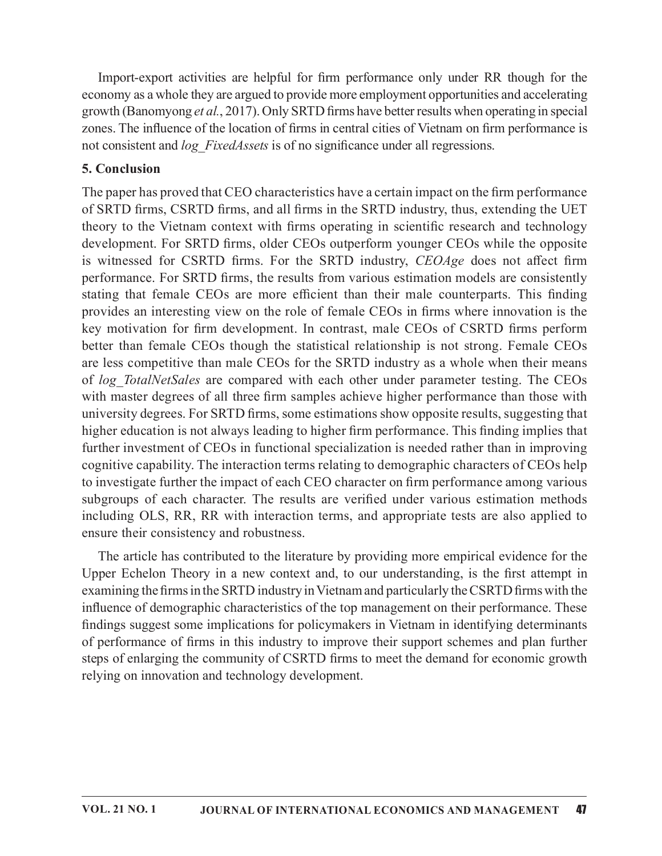Import-export activities are helpful for firm performance only under RR though for the<br>promy as a whole they are argued to provide more employment opportunities and accelerating<br>wth (Banomyong *et al.*, 2017). Only SRTD f economy as a whole they are argued to provide more employment opportunities and accelerating growth (Banomyong et al., 2017). Only SRTD firms have better results when operating in special zones. The influence of the location of firms in central cities of Vietnam on firm performance is not consistent and log FixedAssets is of no significance under all regressions.

## 5. Conclusion

The paper has proved that CEO characteristics have a certain impact on the firm performance of SRTD firms, CSRTD firms, and all firms in the SRTD industry, thus, extending the UET theory to the Vietnam context with firms operating in scientific research and technology development. For SRTD firms, older CEOs outperform younger CEOs while the opposite Import-export activities are helpful for fimn performance only under RR though for the economy as a whole they are argued to provide more emphyment opportunities and accelerating growth (Banomyong *et al.*, 2017). Only SR performance. For SRTD firms, the results from various estimation models are consistently Import-export activities are helpful for fimn performance only under RR though for the economy as a whole they are argued to provide more employment opportunities and accelerating growth (Banomyong *et al.*, 2017). Only S provides an interesting view on the role of female CEOs in firms where innovation is the Import-export activities are helpful for firm performance only under RR though for the economy as a whole they are argued to provide more employment opportunities and accelerating growth (Banomyong *et al.*, 2017). Only S better than female CEOs though the statistical relationship is not strong. Female CEOs are less competitive than male CEOs for the SRTD industry as a whole when their means of log TotalNetSales are compared with each other under parameter testing. The CEOs with master degrees of all three firm samples achieve higher performance than those with university degrees. For SRTD firms, some estimations show opposite results, suggesting that higher education is not always leading to higher firm performance. This finding implies that further investment of CEOs in functional specialization is needed rather than in improving cognitive capability. The interaction terms relating to demographic characters of CEOs help to investigate further the impact of each CEO character on firm performance among various subgroups of each character. The results are verified under various estimation methods including OLS, RR, RR with interaction terms, and appropriate tests are also applied to ensure their consistency and robustness.

The article has contributed to the literature by providing more empirical evidence for the Upper Echelon Theory in a new context and, to our understanding, is the first attempt in examining the firms in the SRTD industry in Vietnam and particularly the CSRTD firms with the influence of demographic characteristics of the top management on their performance. These findings suggest some implications for policymakers in Vietnam in identifying determinants of performance of firms in this industry to improve their support schemes and plan further steps of enlarging the community of CSRTD firms to meet the demand for economic growth relying on innovation and technology development.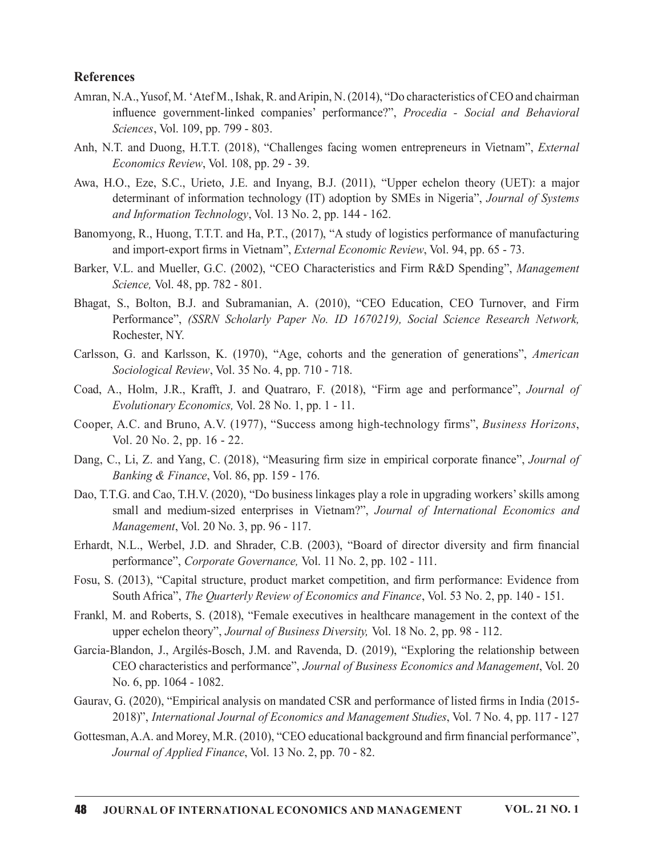#### References

- Amran, N.A., Yusof, M. 'Atef M., Ishak, R. and Aripin, N. (2014), "Do characteristics of CEO and chairman **inces**<br>
Simulan, Nusof, M. 'Atef M., Ishak, R. and Aripin, N. (2014), ''Do characteristics of CEO and chairman<br>
influence government-linked companies' performance?", *Procedia - Social and Behavioral*<br>
Sciences, Vol. 109, Sciences, Vol. 109, pp. 799 - 803.
- Anh, N.T. and Duong, H.T.T. (2018), "Challenges facing women entrepreneurs in Vietnam", External Economics Review, Vol. 108, pp. 29 - 39.
- Awa, H.O., Eze, S.C., Urieto, J.E. and Inyang, B.J. (2011), "Upper echelon theory (UET): a major determinant of information technology (IT) adoption by SMEs in Nigeria", Journal of Systems and Information Technology, Vol. 13 No. 2, pp. 144 - 162. **acces**<br>
N.A., Yusof, M. 'Atef M., Ishak, R. and Aripin, N. (2014), "Do characteristics of CEO and chairman<br>
influence government-linked companies' performance?", *Procedia - Social and Behavioral*<br>
Sciences, Vol. 109, pp.
- Banomyong, R., Huong, T.T.T. and Ha, P.T., (2017), "A study of logistics performance of manufacturing and import-export firms in Vietnam", External Economic Review, Vol. 94, pp. 65 - 73.
- Barker, V.L. and Mueller, G.C. (2002), "CEO Characteristics and Firm R&D Spending", Management Science, Vol. 48, pp. 782 - 801.
- Bhagat, S., Bolton, B.J. and Subramanian, A. (2010), "CEO Education, CEO Turnover, and Firm
- Carlsson, G. and Karlsson, K. (1970), "Age, cohorts and the generation of generations", American Sociological Review, Vol. 35 No. 4, pp. 710 - 718.
- Coad, A., Holm, J.R., Krafft, J. and Quatraro, F. (2018), "Firm age and performance", Journal of  $E$ volutionary Economics, Vol. 28 No. 1, pp. 1 - 11.
- Cooper, A.C. and Bruno, A.V. (1977), "Success among high-technology firms", Business Horizons, Vol. 20 No. 2, pp. 16 - 22.
- Dang, C., Li, Z. and Yang, C. (2018), "Measuring firm size in empirical corporate finance", Journal of Banking & Finance, Vol. 86, pp. 159 - 176.
- Dao, T.T.G. and Cao, T.H.V. (2020), "Do business linkages play a role in upgrading workers'skills among small and medium-sized enterprises in Vietnam?", Journal of International Economics and Management, Vol. 20 No. 3, pp. 96 - 117. Science, Vol. 48, pp. 782 - 801.<br>
Bhagat, S., Bolton, B.J. and Substananian, A. (2010), "CEO Education, CEO Turnover, and Firm<br>
Performance", (SSRN Scholarly Paper No. ID 1670219), Social Science Research Network,<br>
Rochest
- performance", Corporate Governance, Vol. 11 No. 2, pp. 102 111.
- Fosu, S. (2013), "Capital structure, product market competition, and firm performance: Evidence from South Africa", *The Quarterly Review of Economics and Finance*, Vol. 53 No. 2, pp. 140 - 151.
- Frankl, M. and Roberts, S. (2018), "Female executives in healthcare management in the context of the upper echelon theory", Journal of Business Diversity, Vol. 18 No. 2, pp. 98 - 112.
- Garcia-Blandon, J., Argilés-Bosch, J.M. and Ravenda, D. (2019), "Exploring therelationship between CEO characteristics and performance", Journal of Business Economics and Management, Vol. 20 No. 6, pp. 1064 - 1082.
- Gaurav, G. (2020), "Empirical analysis on mandated CSR and performance of listed firms in India (2015-2018)", International Journal of Economics and Management Studies, Vol. 7 No. 4, pp. 117 - 127
- Gottesman, A.A. and Morey, M.R. (2010), "CEO educational background and firm financial performance", Journal of Applied Finance, Vol. 13 No. 2, pp. 70 - 82.